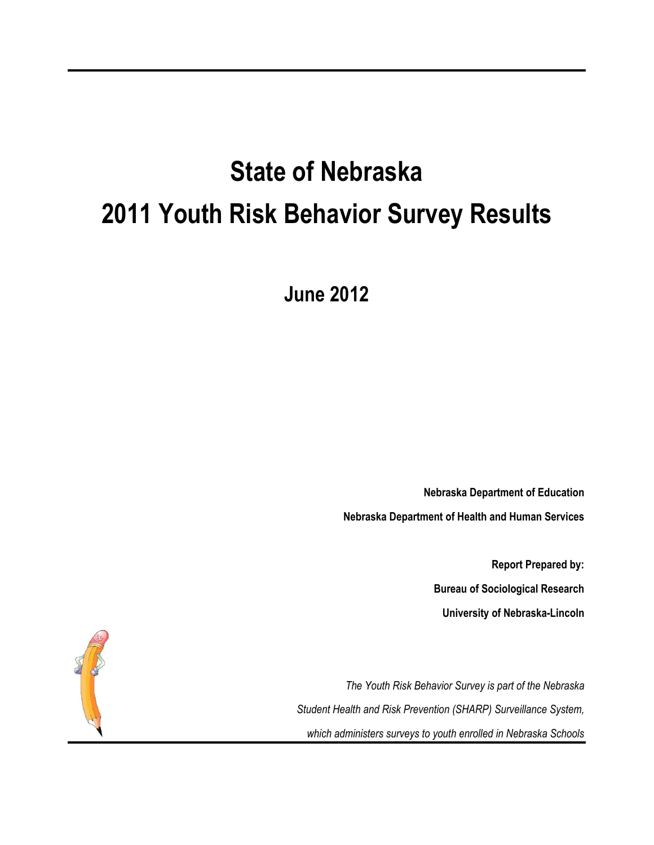# **State of Nebraska 2011 Youth Risk Behavior Survey Results**

**June 2012** 

**Nebraska Department of Education Nebraska Department of Health and Human Services** 

> **Report Prepared by: Bureau of Sociological Research University of Nebraska-Lincoln**

*The Youth Risk Behavior Survey is part of the Nebraska Student Health and Risk Prevention (SHARP) Surveillance System, which administers surveys to youth enrolled in Nebraska Schools*

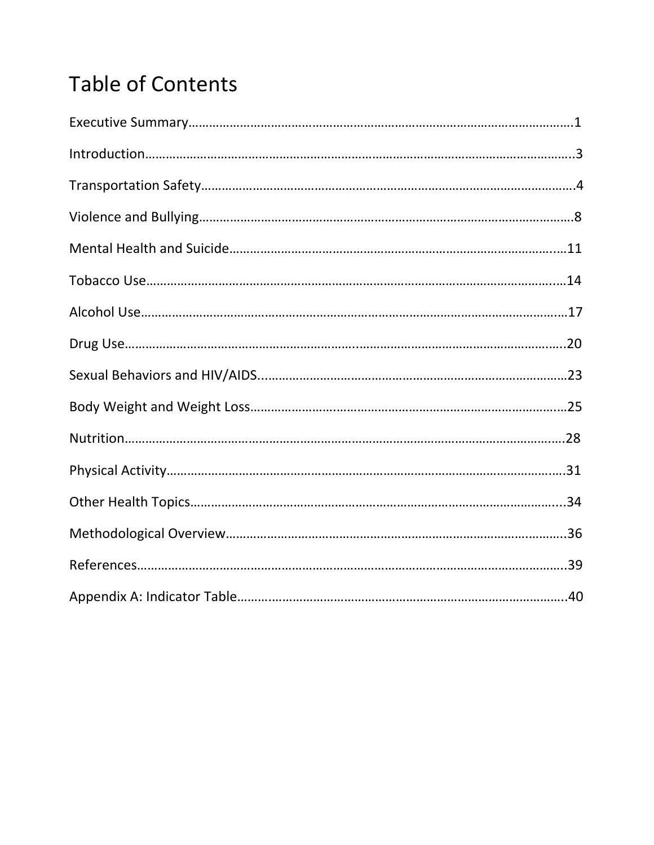## Table of Contents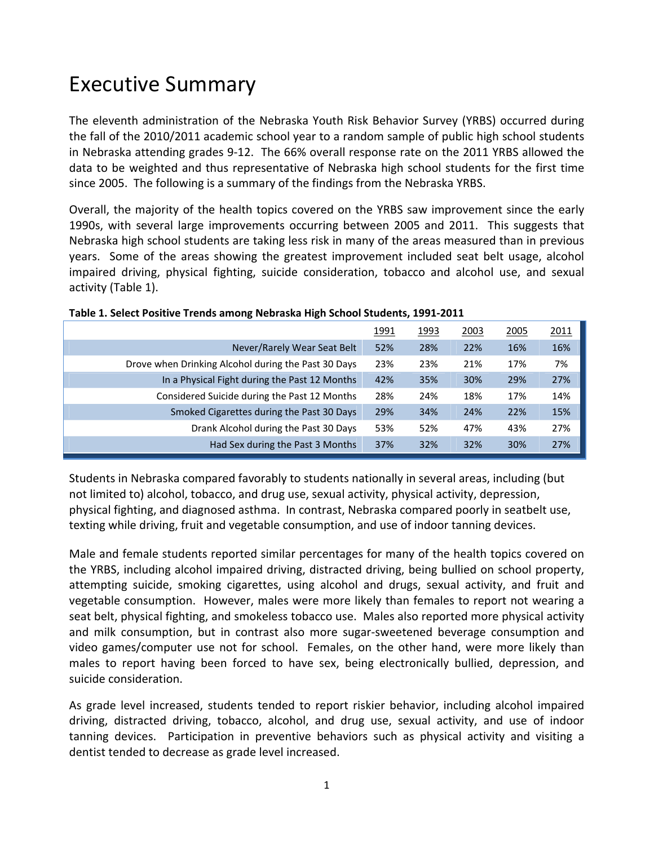### Executive Summary

The eleventh administration of the Nebraska Youth Risk Behavior Survey (YRBS) occurred during the fall of the 2010/2011 academic school year to a random sample of public high school students in Nebraska attending grades 9‐12. The 66% overall response rate on the 2011 YRBS allowed the data to be weighted and thus representative of Nebraska high school students for the first time since 2005. The following is a summary of the findings from the Nebraska YRBS.

Overall, the majority of the health topics covered on the YRBS saw improvement since the early 1990s, with several large improvements occurring between 2005 and 2011. This suggests that Nebraska high school students are taking less risk in many of the areas measured than in previous years. Some of the areas showing the greatest improvement included seat belt usage, alcohol impaired driving, physical fighting, suicide consideration, tobacco and alcohol use, and sexual activity (Table 1).

|                                                     | 1991 | 1993 | 2003 | 2005 | <u> 2011</u> |
|-----------------------------------------------------|------|------|------|------|--------------|
| Never/Rarely Wear Seat Belt                         | 52%  | 28%  | 22%  | 16%  | 16%          |
| Drove when Drinking Alcohol during the Past 30 Days | 23%  | 23%  | 21%  | 17%  | 7%           |
| In a Physical Fight during the Past 12 Months       | 42%  | 35%  | 30%  | 29%  | 27%          |
| Considered Suicide during the Past 12 Months        | 28%  | 24%  | 18%  | 17%  | 14%          |
| Smoked Cigarettes during the Past 30 Days           | 29%  | 34%  | 24%  | 22%  | 15%          |
| Drank Alcohol during the Past 30 Days               | 53%  | 52%  | 47%  | 43%  | 27%          |
| Had Sex during the Past 3 Months                    | 37%  | 32%  | 32%  | 30%  | 27%          |

#### **Table 1. Select Positive Trends among Nebraska High School Students, 1991‐2011**

Students in Nebraska compared favorably to students nationally in several areas, including (but not limited to) alcohol, tobacco, and drug use, sexual activity, physical activity, depression, physical fighting, and diagnosed asthma. In contrast, Nebraska compared poorly in seatbelt use, texting while driving, fruit and vegetable consumption, and use of indoor tanning devices.

Male and female students reported similar percentages for many of the health topics covered on the YRBS, including alcohol impaired driving, distracted driving, being bullied on school property, attempting suicide, smoking cigarettes, using alcohol and drugs, sexual activity, and fruit and vegetable consumption. However, males were more likely than females to report not wearing a seat belt, physical fighting, and smokeless tobacco use. Males also reported more physical activity and milk consumption, but in contrast also more sugar‐sweetened beverage consumption and video games/computer use not for school. Females, on the other hand, were more likely than males to report having been forced to have sex, being electronically bullied, depression, and suicide consideration.

As grade level increased, students tended to report riskier behavior, including alcohol impaired driving, distracted driving, tobacco, alcohol, and drug use, sexual activity, and use of indoor tanning devices. Participation in preventive behaviors such as physical activity and visiting a dentist tended to decrease as grade level increased.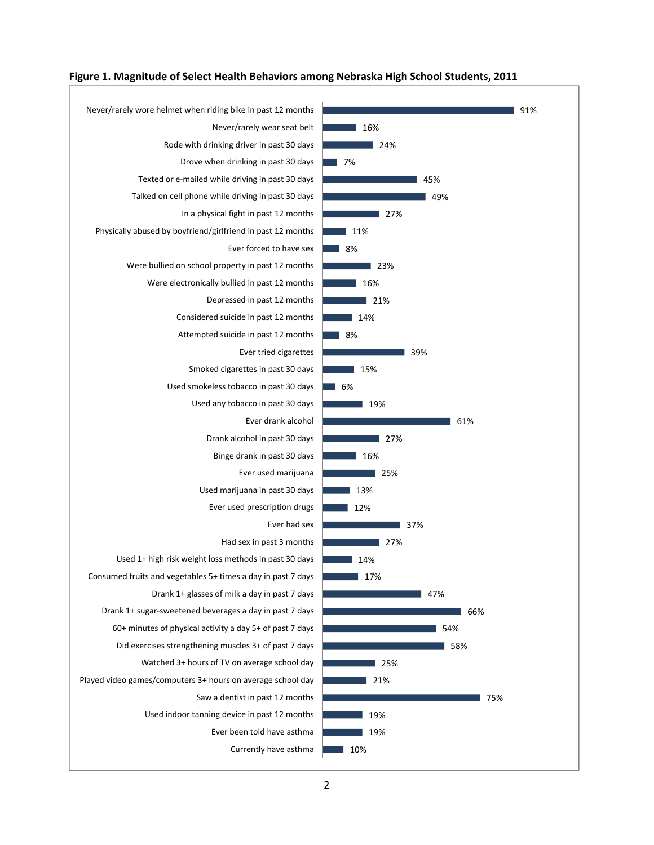

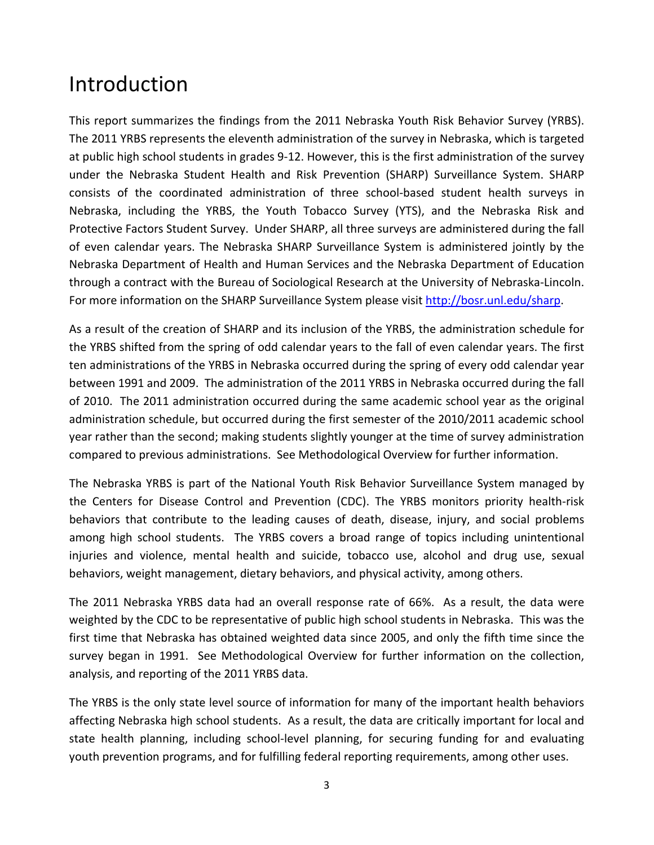### Introduction

This report summarizes the findings from the 2011 Nebraska Youth Risk Behavior Survey (YRBS). The 2011 YRBS represents the eleventh administration of the survey in Nebraska, which is targeted at public high school students in grades 9‐12. However, this is the first administration of the survey under the Nebraska Student Health and Risk Prevention (SHARP) Surveillance System. SHARP consists of the coordinated administration of three school‐based student health surveys in Nebraska, including the YRBS, the Youth Tobacco Survey (YTS), and the Nebraska Risk and Protective Factors Student Survey. Under SHARP, all three surveys are administered during the fall of even calendar years. The Nebraska SHARP Surveillance System is administered jointly by the Nebraska Department of Health and Human Services and the Nebraska Department of Education through a contract with the Bureau of Sociological Research at the University of Nebraska‐Lincoln. For more information on the SHARP Surveillance System please visit http://bosr.unl.edu/sharp.

As a result of the creation of SHARP and its inclusion of the YRBS, the administration schedule for the YRBS shifted from the spring of odd calendar years to the fall of even calendar years. The first ten administrations of the YRBS in Nebraska occurred during the spring of every odd calendar year between 1991 and 2009. The administration of the 2011 YRBS in Nebraska occurred during the fall of 2010. The 2011 administration occurred during the same academic school year as the original administration schedule, but occurred during the first semester of the 2010/2011 academic school year rather than the second; making students slightly younger at the time of survey administration compared to previous administrations. See Methodological Overview for further information.

The Nebraska YRBS is part of the National Youth Risk Behavior Surveillance System managed by the Centers for Disease Control and Prevention (CDC). The YRBS monitors priority health‐risk behaviors that contribute to the leading causes of death, disease, injury, and social problems among high school students. The YRBS covers a broad range of topics including unintentional injuries and violence, mental health and suicide, tobacco use, alcohol and drug use, sexual behaviors, weight management, dietary behaviors, and physical activity, among others.

The 2011 Nebraska YRBS data had an overall response rate of 66%. As a result, the data were weighted by the CDC to be representative of public high school students in Nebraska. This was the first time that Nebraska has obtained weighted data since 2005, and only the fifth time since the survey began in 1991. See Methodological Overview for further information on the collection, analysis, and reporting of the 2011 YRBS data.

The YRBS is the only state level source of information for many of the important health behaviors affecting Nebraska high school students. As a result, the data are critically important for local and state health planning, including school‐level planning, for securing funding for and evaluating youth prevention programs, and for fulfilling federal reporting requirements, among other uses.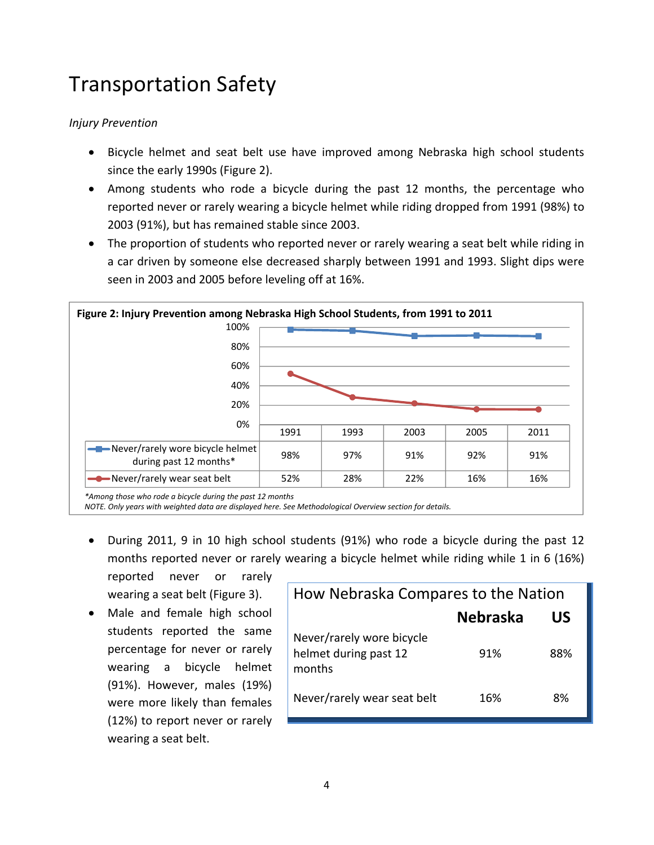## Transportation Safety

#### *Injury Prevention*

- Bicycle helmet and seat belt use have improved among Nebraska high school students since the early 1990s (Figure 2).
- Among students who rode a bicycle during the past 12 months, the percentage who reported never or rarely wearing a bicycle helmet while riding dropped from 1991 (98%) to 2003 (91%), but has remained stable since 2003.
- The proportion of students who reported never or rarely wearing a seat belt while riding in a car driven by someone else decreased sharply between 1991 and 1993. Slight dips were seen in 2003 and 2005 before leveling off at 16%.



*\*Among those who rode a bicycle during the past 12 months*

*NOTE. Only years with weighted data are displayed here. See Methodological Overview section for details.*

 During 2011, 9 in 10 high school students (91%) who rode a bicycle during the past 12 months reported never or rarely wearing a bicycle helmet while riding while 1 in 6 (16%) reported never or rarely

wearing a seat belt (Figure 3). Male and female high school students reported the same percentage for never or rarely wearing a bicycle helmet (91%). However, males (19%) were more likely than females (12%) to report never or rarely wearing a seat belt.

| How Nebraska Compares to the Nation                          |                 |     |  |
|--------------------------------------------------------------|-----------------|-----|--|
|                                                              | <b>Nebraska</b> | US  |  |
| Never/rarely wore bicycle<br>helmet during past 12<br>months | 91%             | 88% |  |
| Never/rarely wear seat belt                                  | 16%             | 8%  |  |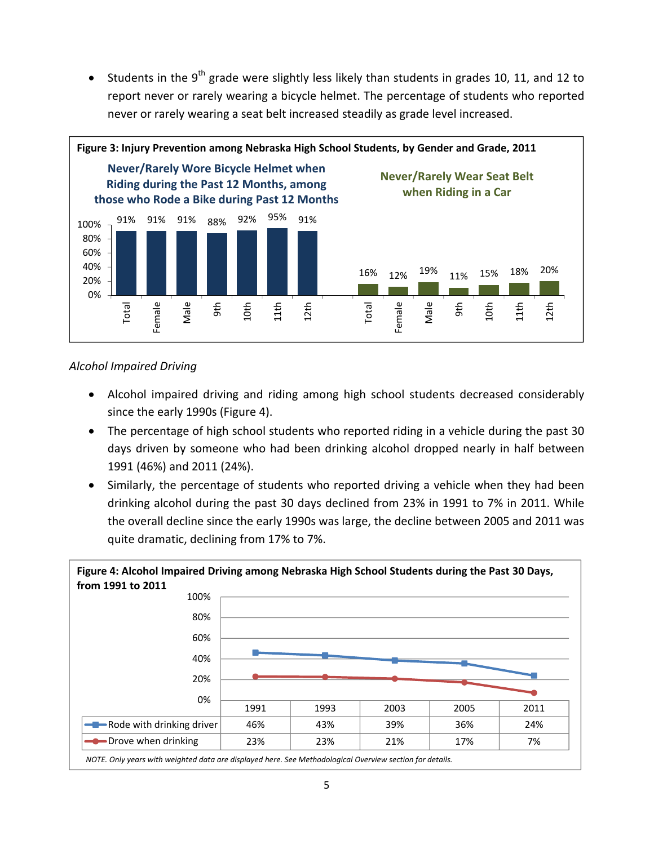• Students in the 9<sup>th</sup> grade were slightly less likely than students in grades 10, 11, and 12 to report never or rarely wearing a bicycle helmet. The percentage of students who reported never or rarely wearing a seat belt increased steadily as grade level increased.



#### *Alcohol Impaired Driving*

- Alcohol impaired driving and riding among high school students decreased considerably since the early 1990s (Figure 4).
- The percentage of high school students who reported riding in a vehicle during the past 30 days driven by someone who had been drinking alcohol dropped nearly in half between 1991 (46%) and 2011 (24%).
- Similarly, the percentage of students who reported driving a vehicle when they had been drinking alcohol during the past 30 days declined from 23% in 1991 to 7% in 2011. While the overall decline since the early 1990s was large, the decline between 2005 and 2011 was quite dramatic, declining from 17% to 7%.

| Figure 4: Alcohol Impaired Driving among Nebraska High School Students during the Past 30 Days,<br>from 1991 to 2011 |      |      |      |      |      |
|----------------------------------------------------------------------------------------------------------------------|------|------|------|------|------|
| 100%                                                                                                                 |      |      |      |      |      |
| 80%                                                                                                                  |      |      |      |      |      |
| 60%                                                                                                                  |      |      |      |      |      |
| 40%                                                                                                                  |      |      |      |      |      |
| 20%                                                                                                                  |      |      |      |      |      |
| 0%                                                                                                                   | 1991 | 1993 | 2003 | 2005 | 2011 |
| -Bode with drinking driver                                                                                           | 46%  | 43%  | 39%  | 36%  | 24%  |
| <b>-O</b> -Drove when drinking                                                                                       | 23%  | 23%  | 21%  | 17%  | 7%   |

*NOTE. Only years with weighted data are displayed here. See Methodological Overview section for details.*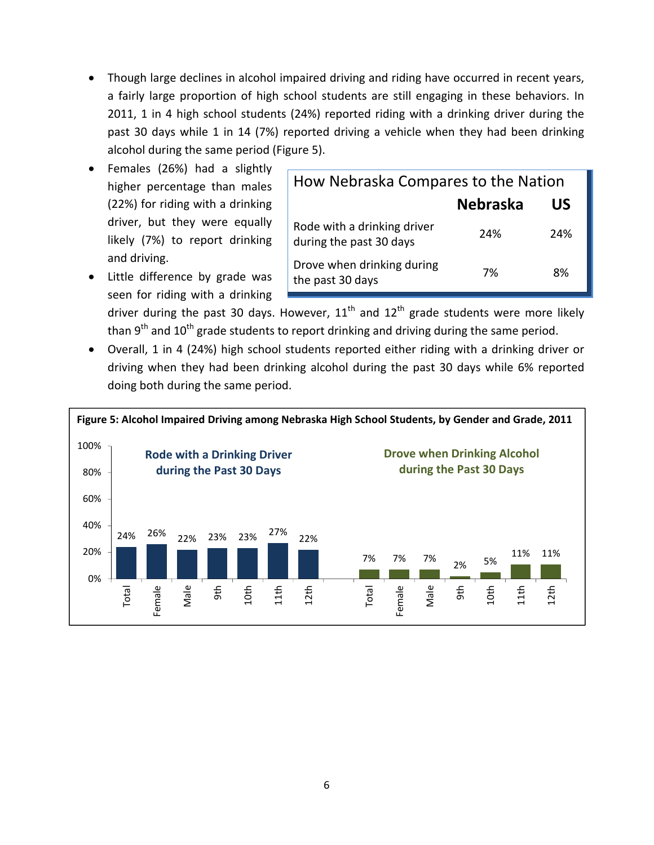- Though large declines in alcohol impaired driving and riding have occurred in recent years, a fairly large proportion of high school students are still engaging in these behaviors. In 2011, 1 in 4 high school students (24%) reported riding with a drinking driver during the past 30 days while 1 in 14 (7%) reported driving a vehicle when they had been drinking alcohol during the same period (Figure 5).
- Females (26%) had a slightly higher percentage than males (22%) for riding with a drinking driver, but they were equally likely (7%) to report drinking and driving.
- Little difference by grade was seen for riding with a drinking

| How Nebraska Compares to the Nation                    |                 |     |  |
|--------------------------------------------------------|-----------------|-----|--|
|                                                        | <b>Nebraska</b> | US  |  |
| Rode with a drinking driver<br>during the past 30 days | 24%             | 24% |  |
| Drove when drinking during<br>the past 30 days         | 7%              | 8%  |  |

driver during the past 30 days. However,  $11<sup>th</sup>$  and  $12<sup>th</sup>$  grade students were more likely than  $9<sup>th</sup>$  and  $10<sup>th</sup>$  grade students to report drinking and driving during the same period.

 Overall, 1 in 4 (24%) high school students reported either riding with a drinking driver or driving when they had been drinking alcohol during the past 30 days while 6% reported doing both during the same period.

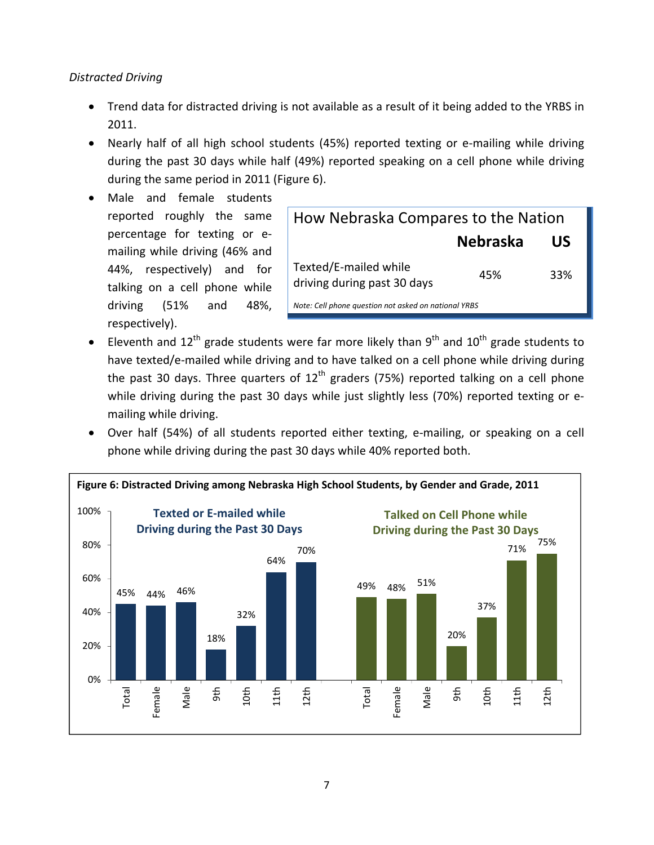#### *Distracted Driving*

- Trend data for distracted driving is not available as a result of it being added to the YRBS in 2011.
- Nearly half of all high school students (45%) reported texting or e-mailing while driving during the past 30 days while half (49%) reported speaking on a cell phone while driving during the same period in 2011 (Figure 6).
- Male and female students reported roughly the same percentage for texting or e‐ mailing while driving (46% and 44%, respectively) and for talking on a cell phone while driving (51% and 48%, respectively).

| How Nebraska Compares to the Nation                  |     |     |  |  |
|------------------------------------------------------|-----|-----|--|--|
| <b>Nebraska</b><br>US                                |     |     |  |  |
| Texted/E-mailed while<br>driving during past 30 days | 45% | 33% |  |  |
| Note: Cell phone question not asked on national YRBS |     |     |  |  |

- Eleventh and 12<sup>th</sup> grade students were far more likely than 9<sup>th</sup> and 10<sup>th</sup> grade students to have texted/e-mailed while driving and to have talked on a cell phone while driving during the past 30 days. Three quarters of  $12<sup>th</sup>$  graders (75%) reported talking on a cell phone while driving during the past 30 days while just slightly less (70%) reported texting or emailing while driving.
- Over half (54%) of all students reported either texting, e‐mailing, or speaking on a cell phone while driving during the past 30 days while 40% reported both.

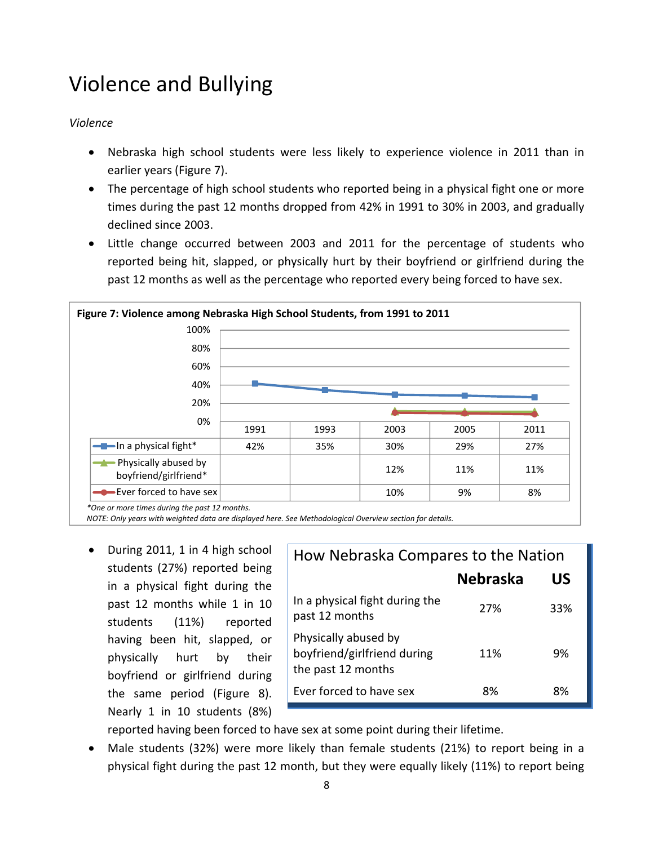## Violence and Bullying

#### *Violence*

- Nebraska high school students were less likely to experience violence in 2011 than in earlier years (Figure 7).
- The percentage of high school students who reported being in a physical fight one or more times during the past 12 months dropped from 42% in 1991 to 30% in 2003, and gradually declined since 2003.
- Little change occurred between 2003 and 2011 for the percentage of students who reported being hit, slapped, or physically hurt by their boyfriend or girlfriend during the past 12 months as well as the percentage who reported every being forced to have sex.



*\*One or more times during the past 12 months.*

*NOTE: Only years with weighted data are displayed here. See Methodological Overview section for details.*

• During 2011, 1 in 4 high school students (27%) reported being in a physical fight during the past 12 months while 1 in 10 students (11%) reported having been hit, slapped, or physically hurt by their boyfriend or girlfriend during the same period (Figure 8). Nearly 1 in 10 students (8%)

| How Nebraska Compares to the Nation                                       |                       |     |  |
|---------------------------------------------------------------------------|-----------------------|-----|--|
|                                                                           | <b>Nebraska</b><br>US |     |  |
| In a physical fight during the<br>past 12 months                          | 27%                   | 33% |  |
| Physically abused by<br>boyfriend/girlfriend during<br>the past 12 months | 11%                   | 9%  |  |
| Ever forced to have sex                                                   | 8%                    | 8%  |  |

reported having been forced to have sex at some point during their lifetime.

 Male students (32%) were more likely than female students (21%) to report being in a physical fight during the past 12 month, but they were equally likely (11%) to report being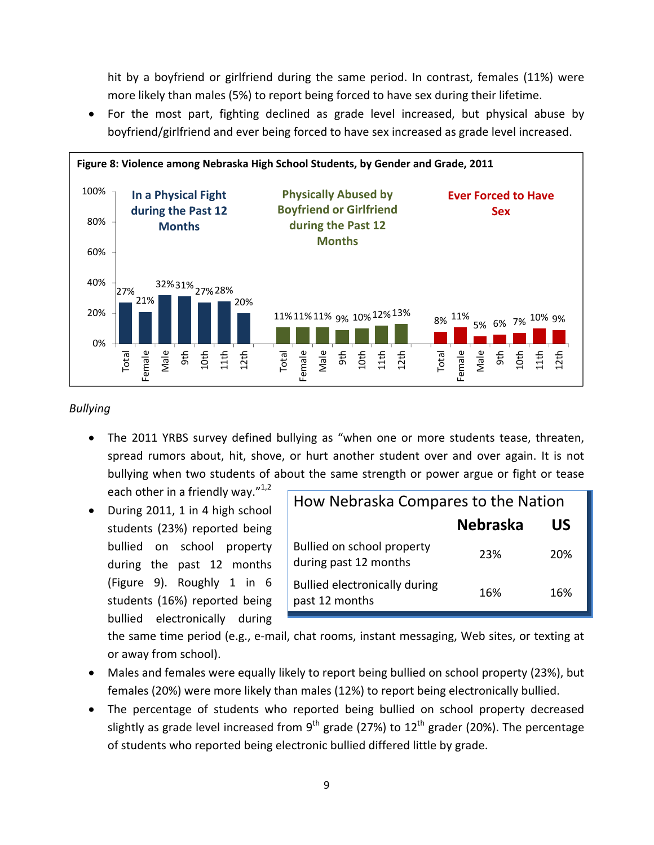hit by a boyfriend or girlfriend during the same period. In contrast, females (11%) were more likely than males (5%) to report being forced to have sex during their lifetime.

 For the most part, fighting declined as grade level increased, but physical abuse by boyfriend/girlfriend and ever being forced to have sex increased as grade level increased.



#### *Bullying*

 The 2011 YRBS survey defined bullying as "when one or more students tease, threaten, spread rumors about, hit, shove, or hurt another student over and over again. It is not bullying when two students of about the same strength or power argue or fight or tease

each other in a friendly way. $n^{1,2}$ • During 2011, 1 in 4 high school

students (23%) reported being bullied on school property during the past 12 months (Figure 9). Roughly 1 in 6 students (16%) reported being bullied electronically during

| How Nebraska Compares to the Nation                    |                 |     |  |
|--------------------------------------------------------|-----------------|-----|--|
|                                                        | <b>Nebraska</b> | US  |  |
| Bullied on school property<br>during past 12 months    | 23%             | 20% |  |
| <b>Bullied electronically during</b><br>past 12 months | 16%             | 16% |  |

the same time period (e.g., e‐mail, chat rooms, instant messaging, Web sites, or texting at or away from school).

- Males and females were equally likely to report being bullied on school property (23%), but females (20%) were more likely than males (12%) to report being electronically bullied.
- The percentage of students who reported being bullied on school property decreased slightly as grade level increased from 9<sup>th</sup> grade (27%) to  $12<sup>th</sup>$  grader (20%). The percentage of students who reported being electronic bullied differed little by grade.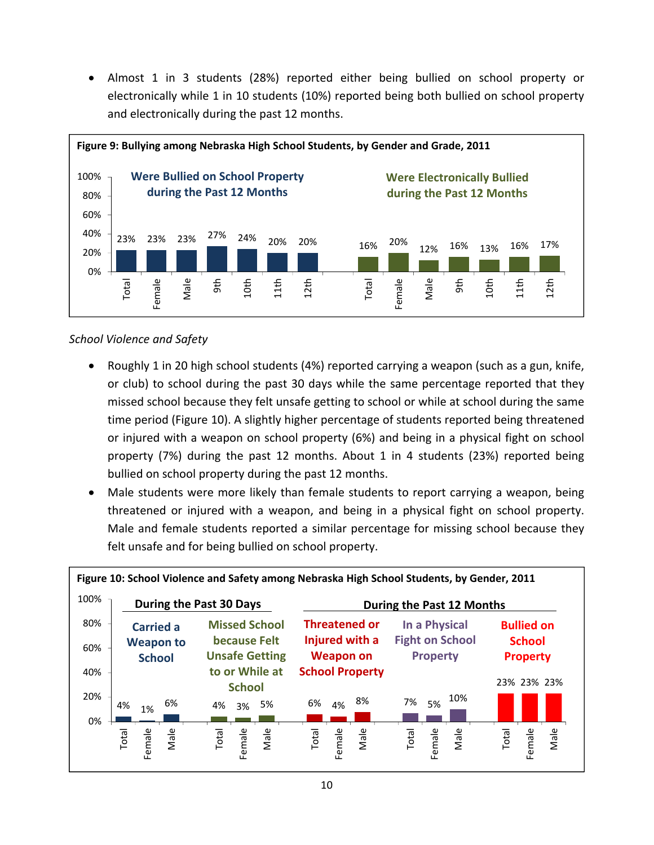Almost 1 in 3 students (28%) reported either being bullied on school property or electronically while 1 in 10 students (10%) reported being both bullied on school property and electronically during the past 12 months.



#### *School Violence and Safety*

- Roughly 1 in 20 high school students (4%) reported carrying a weapon (such as a gun, knife, or club) to school during the past 30 days while the same percentage reported that they missed school because they felt unsafe getting to school or while at school during the same time period (Figure 10). A slightly higher percentage of students reported being threatened or injured with a weapon on school property (6%) and being in a physical fight on school property (7%) during the past 12 months. About 1 in 4 students (23%) reported being bullied on school property during the past 12 months.
- Male students were more likely than female students to report carrying a weapon, being threatened or injured with a weapon, and being in a physical fight on school property. Male and female students reported a similar percentage for missing school because they felt unsafe and for being bullied on school property.

| Figure 10: School Violence and Safety among Nebraska High School Students, by Gender, 2011 |                                   |                                       |                                    |                                           |                                  |
|--------------------------------------------------------------------------------------------|-----------------------------------|---------------------------------------|------------------------------------|-------------------------------------------|----------------------------------|
| 100%                                                                                       | <b>During the Past 30 Days</b>    |                                       |                                    | During the Past 12 Months                 |                                  |
| 80%                                                                                        | <b>Carried a</b>                  | <b>Missed School</b>                  | <b>Threatened or</b>               | In a Physical                             | <b>Bullied on</b>                |
| 60%                                                                                        | <b>Weapon to</b><br><b>School</b> | because Felt<br><b>Unsafe Getting</b> | Injured with a<br><b>Weapon on</b> | <b>Fight on School</b><br><b>Property</b> | <b>School</b><br><b>Property</b> |
| 40%                                                                                        |                                   | to or While at<br><b>School</b>       | <b>School Property</b>             |                                           | 23% 23% 23%                      |
| 20%                                                                                        | 6%<br>4%<br>1%                    | 3% 5%<br>4%                           | 8%<br>6%<br>4%                     | 10%<br>7%<br>5%                           |                                  |
| 0%                                                                                         | Male<br>Female<br>Total           | Male<br>Female<br>Total               | Female<br>Male<br>Total            | Female<br>Male<br>Total                   | Male<br>Female<br>Total          |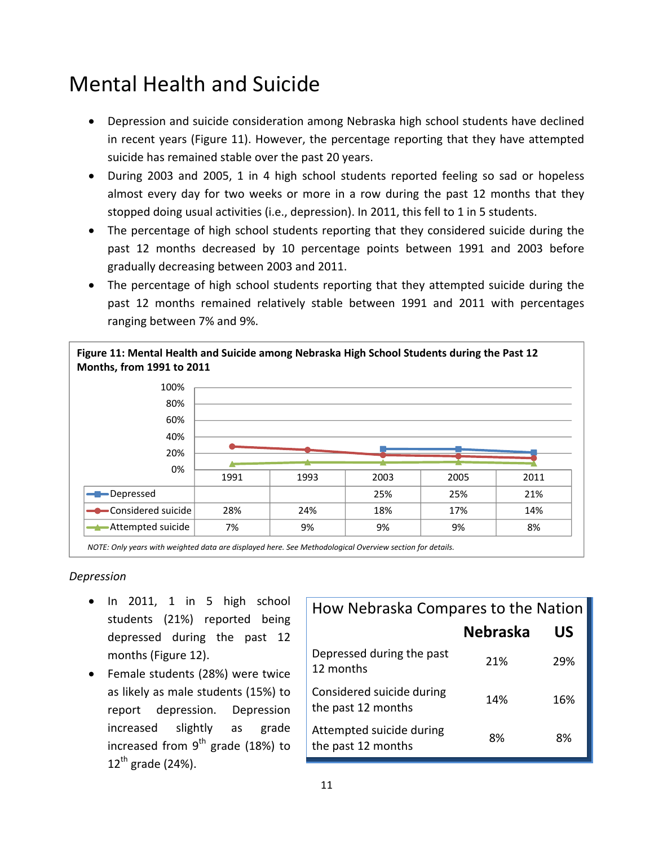## Mental Health and Suicide

- Depression and suicide consideration among Nebraska high school students have declined in recent years (Figure 11). However, the percentage reporting that they have attempted suicide has remained stable over the past 20 years.
- During 2003 and 2005, 1 in 4 high school students reported feeling so sad or hopeless almost every day for two weeks or more in a row during the past 12 months that they stopped doing usual activities (i.e., depression). In 2011, this fell to 1 in 5 students.
- The percentage of high school students reporting that they considered suicide during the past 12 months decreased by 10 percentage points between 1991 and 2003 before gradually decreasing between 2003 and 2011.
- The percentage of high school students reporting that they attempted suicide during the past 12 months remained relatively stable between 1991 and 2011 with percentages ranging between 7% and 9%.



*NOTE: Only years with weighted data are displayed here. See Methodological Overview section for details.*

#### *Depression*

- In 2011, 1 in 5 high school students (21%) reported being depressed during the past 12 months (Figure 12).
- Female students (28%) were twice as likely as male students (15%) to report depression. Depression increased slightly as grade increased from  $9<sup>th</sup>$  grade (18%) to  $12^{th}$  grade (24%).

| How Nebraska Compares to the Nation             |                 |     |  |
|-------------------------------------------------|-----------------|-----|--|
|                                                 | <b>Nebraska</b> | US  |  |
| Depressed during the past<br>12 months          | 21%             | 29% |  |
| Considered suicide during<br>the past 12 months | 14%             | 16% |  |
| Attempted suicide during<br>the past 12 months  | 8%              | 8%  |  |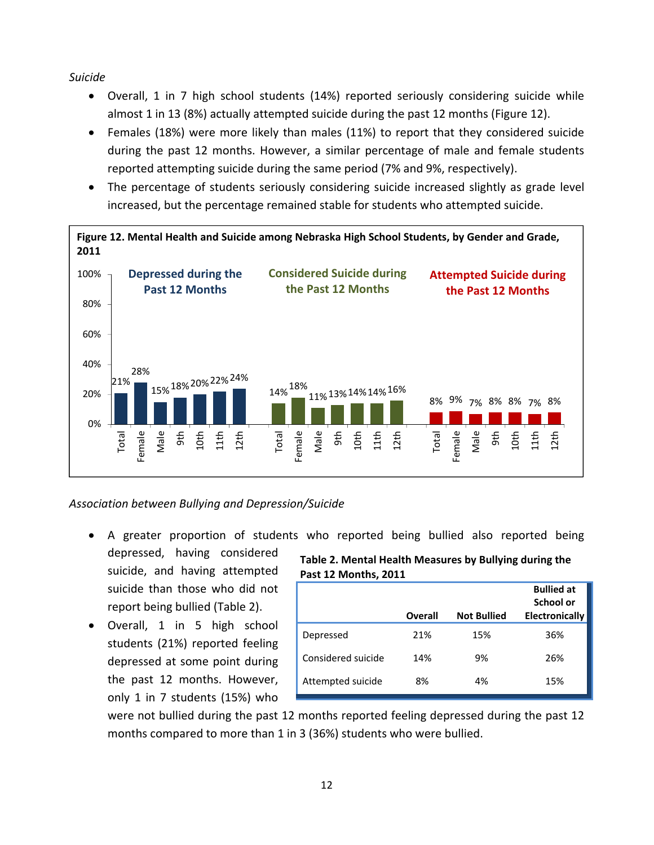*Suicide*

- Overall, 1 in 7 high school students (14%) reported seriously considering suicide while almost 1 in 13 (8%) actually attempted suicide during the past 12 months (Figure 12).
- Females (18%) were more likely than males (11%) to report that they considered suicide during the past 12 months. However, a similar percentage of male and female students reported attempting suicide during the same period (7% and 9%, respectively).
- The percentage of students seriously considering suicide increased slightly as grade level increased, but the percentage remained stable for students who attempted suicide.



*Association between Bullying and Depression/Suicide*

- A greater proportion of students who reported being bullied also reported being depressed, having considered
- suicide, and having attempted suicide than those who did not report being bullied (Table 2).
- Overall, 1 in 5 high school students (21%) reported feeling depressed at some point during the past 12 months. However, only 1 in 7 students (15%) who

**Table 2. Mental Health Measures by Bullying during the Past 12 Months, 2011**

|                    |         |                    | <b>Bullied at</b><br>School or |
|--------------------|---------|--------------------|--------------------------------|
|                    | Overall | <b>Not Bullied</b> | <b>Electronically</b>          |
| Depressed          | 21%     | 15%                | 36%                            |
| Considered suicide | 14%     | 9%                 | 26%                            |
| Attempted suicide  | 8%      | 4%                 | 15%                            |

were not bullied during the past 12 months reported feeling depressed during the past 12 months compared to more than 1 in 3 (36%) students who were bullied.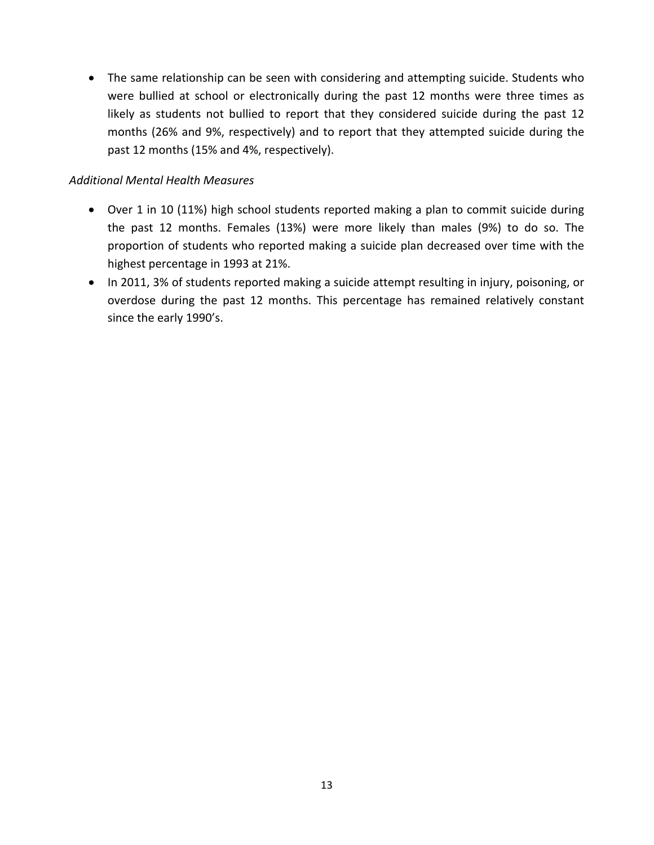• The same relationship can be seen with considering and attempting suicide. Students who were bullied at school or electronically during the past 12 months were three times as likely as students not bullied to report that they considered suicide during the past 12 months (26% and 9%, respectively) and to report that they attempted suicide during the past 12 months (15% and 4%, respectively).

#### *Additional Mental Health Measures*

- Over 1 in 10 (11%) high school students reported making a plan to commit suicide during the past 12 months. Females (13%) were more likely than males (9%) to do so. The proportion of students who reported making a suicide plan decreased over time with the highest percentage in 1993 at 21%.
- In 2011, 3% of students reported making a suicide attempt resulting in injury, poisoning, or overdose during the past 12 months. This percentage has remained relatively constant since the early 1990's.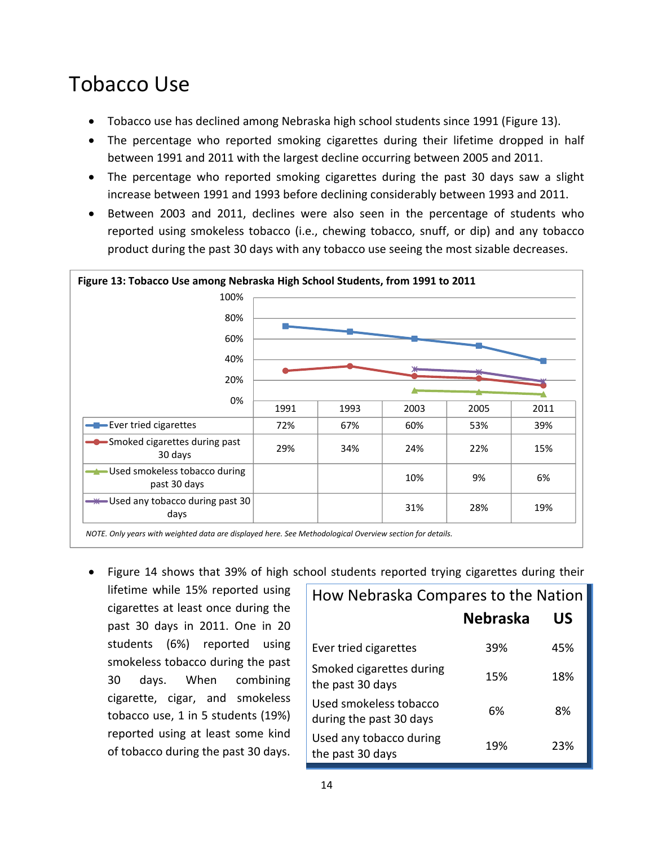### Tobacco Use

- Tobacco use has declined among Nebraska high school students since 1991 (Figure 13).
- The percentage who reported smoking cigarettes during their lifetime dropped in half between 1991 and 2011 with the largest decline occurring between 2005 and 2011.
- The percentage who reported smoking cigarettes during the past 30 days saw a slight increase between 1991 and 1993 before declining considerably between 1993 and 2011.
- Between 2003 and 2011, declines were also seen in the percentage of students who reported using smokeless tobacco (i.e., chewing tobacco, snuff, or dip) and any tobacco product during the past 30 days with any tobacco use seeing the most sizable decreases.



Figure 14 shows that 39% of high school students reported trying cigarettes during their

lifetime while 15% reported using cigarettes at least once during the past 30 days in 2011. One in 20 students (6%) reported using smokeless tobacco during the past 30 days. When combining cigarette, cigar, and smokeless tobacco use, 1 in 5 students (19%) reported using at least some kind of tobacco during the past 30 days.

| How Nebraska Compares to the Nation               |                 |     |  |  |
|---------------------------------------------------|-----------------|-----|--|--|
|                                                   | <b>Nebraska</b> | US  |  |  |
| Ever tried cigarettes                             | 39%             | 45% |  |  |
| Smoked cigarettes during<br>the past 30 days      | 15%             | 18% |  |  |
| Used smokeless tobacco<br>during the past 30 days | 6%              | 8%  |  |  |
| Used any tobacco during<br>the past 30 days       | 19%             | 23% |  |  |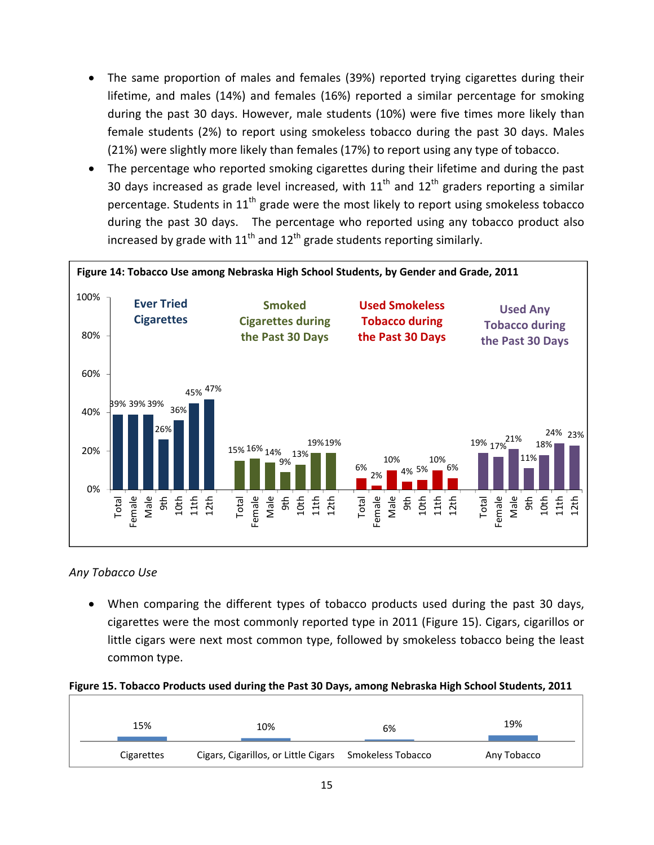- The same proportion of males and females (39%) reported trying cigarettes during their lifetime, and males (14%) and females (16%) reported a similar percentage for smoking during the past 30 days. However, male students (10%) were five times more likely than female students (2%) to report using smokeless tobacco during the past 30 days. Males (21%) were slightly more likely than females (17%) to report using any type of tobacco.
- The percentage who reported smoking cigarettes during their lifetime and during the past 30 days increased as grade level increased, with  $11<sup>th</sup>$  and  $12<sup>th</sup>$  graders reporting a similar percentage. Students in  $11<sup>th</sup>$  grade were the most likely to report using smokeless tobacco during the past 30 days. The percentage who reported using any tobacco product also increased by grade with  $11<sup>th</sup>$  and  $12<sup>th</sup>$  grade students reporting similarly.



#### *Any Tobacco Use*

 When comparing the different types of tobacco products used during the past 30 days, cigarettes were the most commonly reported type in 2011 (Figure 15). Cigars, cigarillos or little cigars were next most common type, followed by smokeless tobacco being the least common type.

#### **Figure 15. Tobacco Products used during the Past 30 Days, among Nebraska High School Students, 2011**

| 15%        | 10%                                                    | 6% | 19%         |
|------------|--------------------------------------------------------|----|-------------|
| Cigarettes | Cigars, Cigarillos, or Little Cigars Smokeless Tobacco |    | Any Tobacco |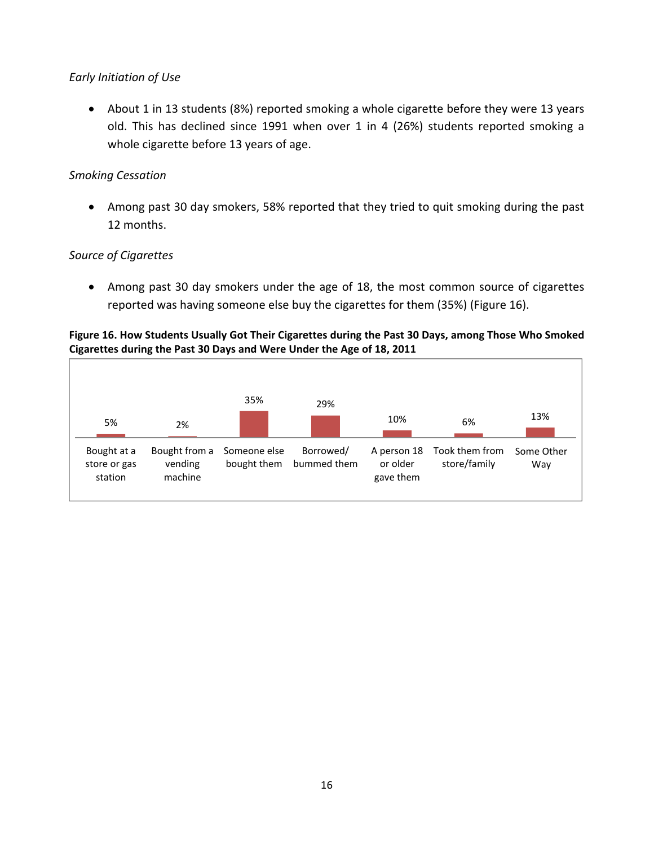#### *Early Initiation of Use*

 About 1 in 13 students (8%) reported smoking a whole cigarette before they were 13 years old. This has declined since 1991 when over 1 in 4 (26%) students reported smoking a whole cigarette before 13 years of age.

#### *Smoking Cessation*

 Among past 30 day smokers, 58% reported that they tried to quit smoking during the past 12 months.

#### *Source of Cigarettes*

 Among past 30 day smokers under the age of 18, the most common source of cigarettes reported was having someone else buy the cigarettes for them (35%) (Figure 16).

#### **Figure 16. How Students Usually Got Their Cigarettes during the Past 30 Days, among Those Who Smoked Cigarettes during the Past 30 Days and Were Under the Age of 18, 2011**

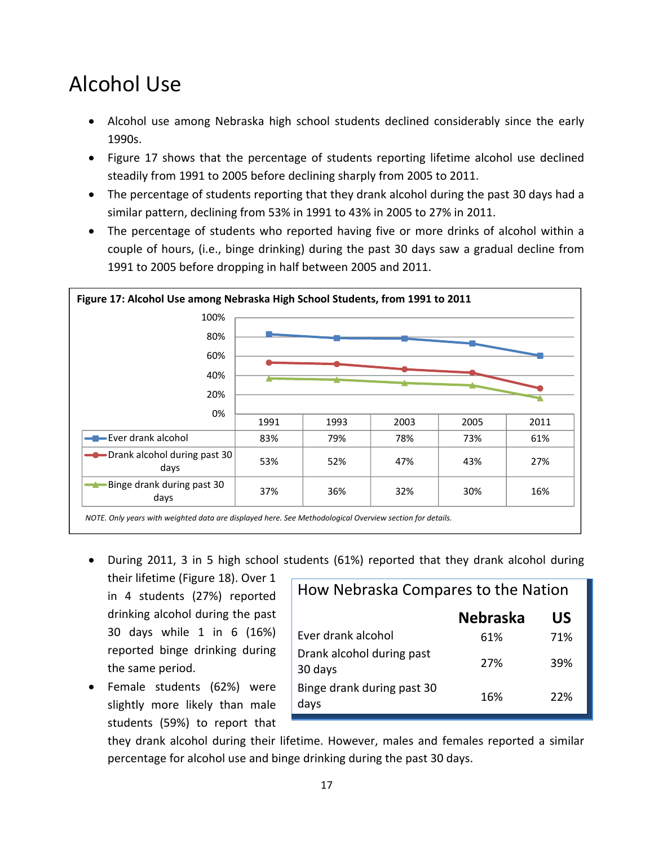## Alcohol Use

- Alcohol use among Nebraska high school students declined considerably since the early 1990s.
- Figure 17 shows that the percentage of students reporting lifetime alcohol use declined steadily from 1991 to 2005 before declining sharply from 2005 to 2011.
- The percentage of students reporting that they drank alcohol during the past 30 days had a similar pattern, declining from 53% in 1991 to 43% in 2005 to 27% in 2011.
- The percentage of students who reported having five or more drinks of alcohol within a couple of hours, (i.e., binge drinking) during the past 30 days saw a gradual decline from 1991 to 2005 before dropping in half between 2005 and 2011.



- During 2011, 3 in 5 high school students (61%) reported that they drank alcohol during
- their lifetime (Figure 18). Over 1 in 4 students (27%) reported drinking alcohol during the past 30 days while 1 in 6 (16%) reported binge drinking during the same period.
- Female students (62%) were slightly more likely than male students (59%) to report that

| How Nebraska Compares to the Nation  |                 |     |  |
|--------------------------------------|-----------------|-----|--|
|                                      | <b>Nebraska</b> | US  |  |
| Ever drank alcohol                   | 61%             | 71% |  |
| Drank alcohol during past<br>30 days | 27%             | 39% |  |
| Binge drank during past 30<br>days   | 16%             | 22% |  |

they drank alcohol during their lifetime. However, males and females reported a similar percentage for alcohol use and binge drinking during the past 30 days.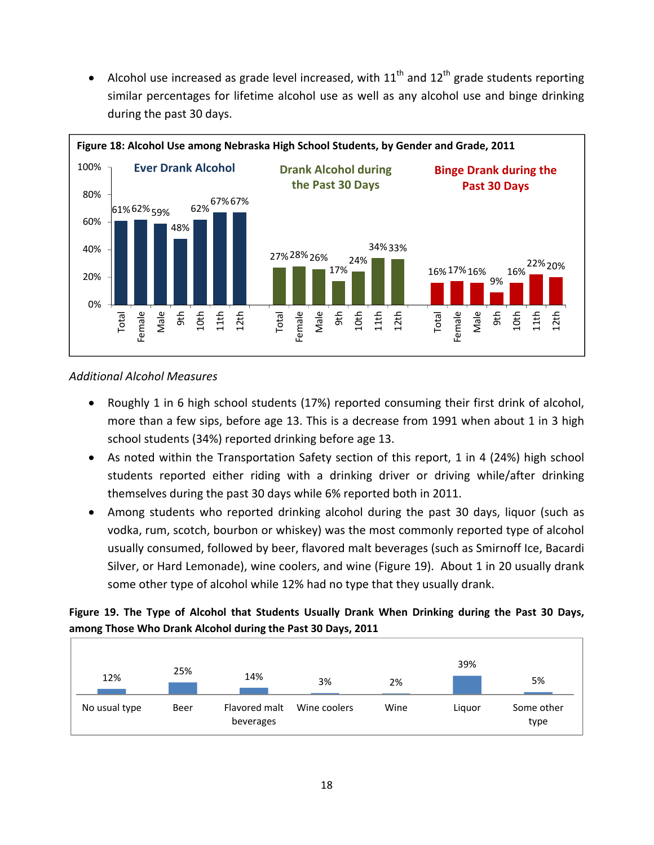• Alcohol use increased as grade level increased, with  $11<sup>th</sup>$  and  $12<sup>th</sup>$  grade students reporting similar percentages for lifetime alcohol use as well as any alcohol use and binge drinking during the past 30 days.



#### *Additional Alcohol Measures*

- Roughly 1 in 6 high school students (17%) reported consuming their first drink of alcohol, more than a few sips, before age 13. This is a decrease from 1991 when about 1 in 3 high school students (34%) reported drinking before age 13.
- As noted within the Transportation Safety section of this report, 1 in 4 (24%) high school students reported either riding with a drinking driver or driving while/after drinking themselves during the past 30 days while 6% reported both in 2011.
- Among students who reported drinking alcohol during the past 30 days, liquor (such as vodka, rum, scotch, bourbon or whiskey) was the most commonly reported type of alcohol usually consumed, followed by beer, flavored malt beverages (such as Smirnoff Ice, Bacardi Silver, or Hard Lemonade), wine coolers, and wine (Figure 19). About 1 in 20 usually drank some other type of alcohol while 12% had no type that they usually drank.

#### **Figure 19. The Type of Alcohol that Students Usually Drank When Drinking during the Past 30 Days, among Those Who Drank Alcohol during the Past 30 Days, 2011**

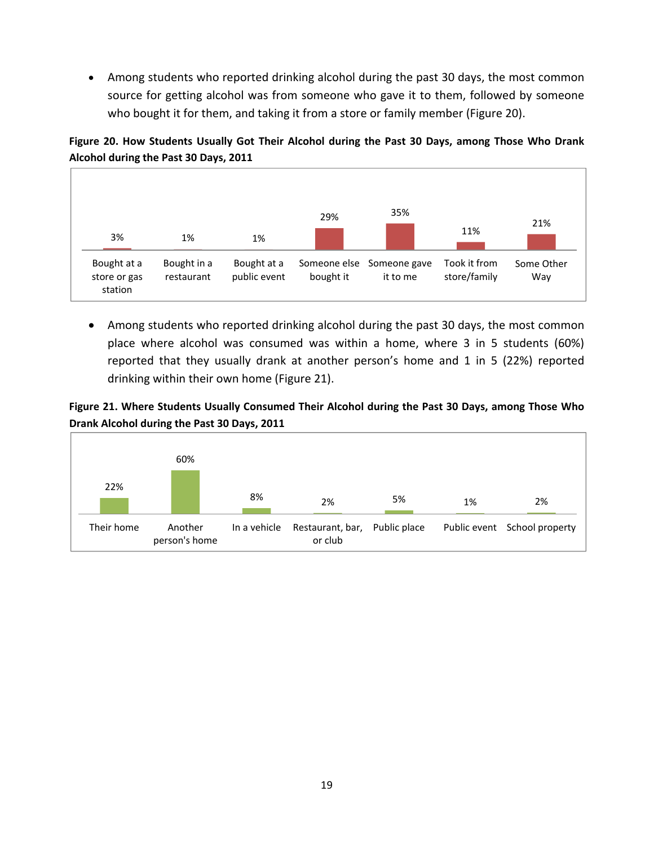Among students who reported drinking alcohol during the past 30 days, the most common source for getting alcohol was from someone who gave it to them, followed by someone who bought it for them, and taking it from a store or family member (Figure 20).

**Figure 20. How Students Usually Got Their Alcohol during the Past 30 Days, among Those Who Drank Alcohol during the Past 30 Days, 2011**



 Among students who reported drinking alcohol during the past 30 days, the most common place where alcohol was consumed was within a home, where 3 in 5 students (60%) reported that they usually drank at another person's home and 1 in 5 (22%) reported drinking within their own home (Figure 21).

#### **Figure 21. Where Students Usually Consumed Their Alcohol during the Past 30 Days, among Those Who Drank Alcohol during the Past 30 Days, 2011**

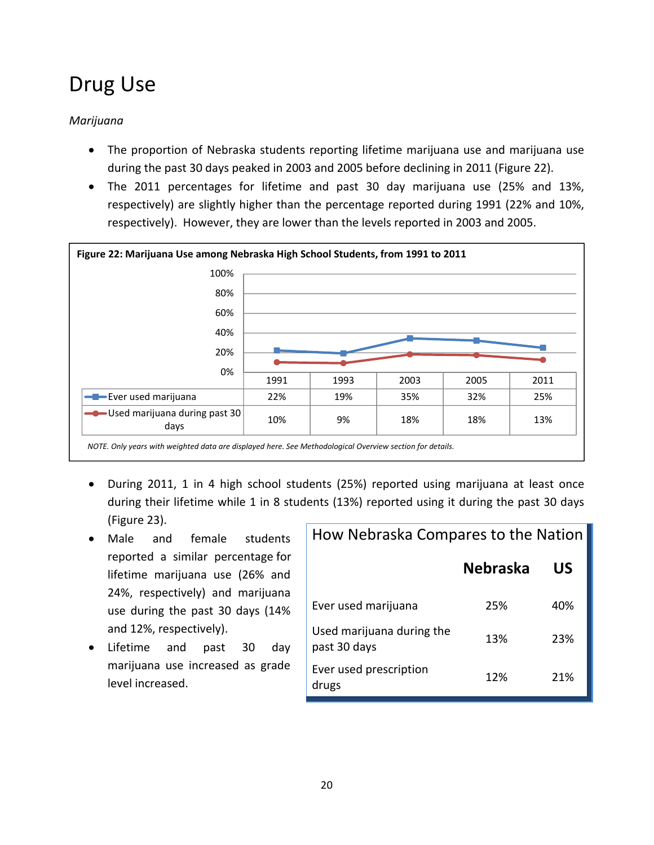## Drug Use

#### *Marijuana*

- The proportion of Nebraska students reporting lifetime marijuana use and marijuana use during the past 30 days peaked in 2003 and 2005 before declining in 2011 (Figure 22).
- The 2011 percentages for lifetime and past 30 day marijuana use (25% and 13%, respectively) are slightly higher than the percentage reported during 1991 (22% and 10%, respectively). However, they are lower than the levels reported in 2003 and 2005.



- During 2011, 1 in 4 high school students (25%) reported using marijuana at least once during their lifetime while 1 in 8 students (13%) reported using it during the past 30 days (Figure 23).
- Male and female students reported a similar percentage for lifetime marijuana use (26% and 24%, respectively) and marijuana use during the past 30 days (14% and 12%, respectively).
- Lifetime and past 30 day marijuana use increased as grade level increased.

| How Nebraska Compares to the Nation       |                 |     |
|-------------------------------------------|-----------------|-----|
|                                           | <b>Nebraska</b> | US  |
| Ever used marijuana                       | 25%             | 40% |
| Used marijuana during the<br>past 30 days | 13%             | 23% |
| Ever used prescription<br>drugs           | 12%             | 21% |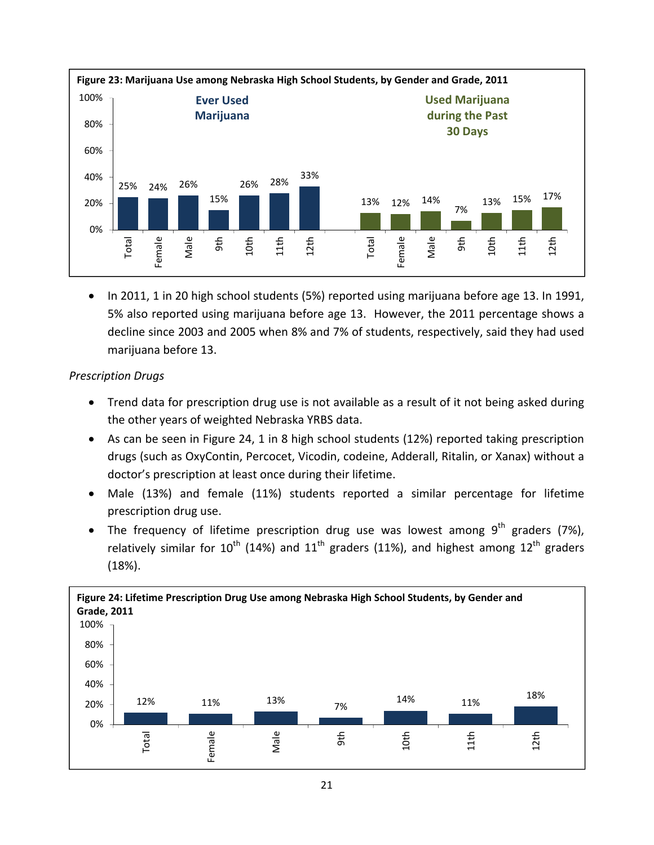

• In 2011, 1 in 20 high school students (5%) reported using marijuana before age 13. In 1991, 5% also reported using marijuana before age 13. However, the 2011 percentage shows a decline since 2003 and 2005 when 8% and 7% of students, respectively, said they had used marijuana before 13.

#### *Prescription Drugs*

- Trend data for prescription drug use is not available as a result of it not being asked during the other years of weighted Nebraska YRBS data.
- As can be seen in Figure 24, 1 in 8 high school students (12%) reported taking prescription drugs (such as OxyContin, Percocet, Vicodin, codeine, Adderall, Ritalin, or Xanax) without a doctor's prescription at least once during their lifetime.
- Male (13%) and female (11%) students reported a similar percentage for lifetime prescription drug use.
- The frequency of lifetime prescription drug use was lowest among  $9<sup>th</sup>$  graders (7%), relatively similar for  $10^{th}$  (14%) and  $11^{th}$  graders (11%), and highest among  $12^{th}$  graders (18%).

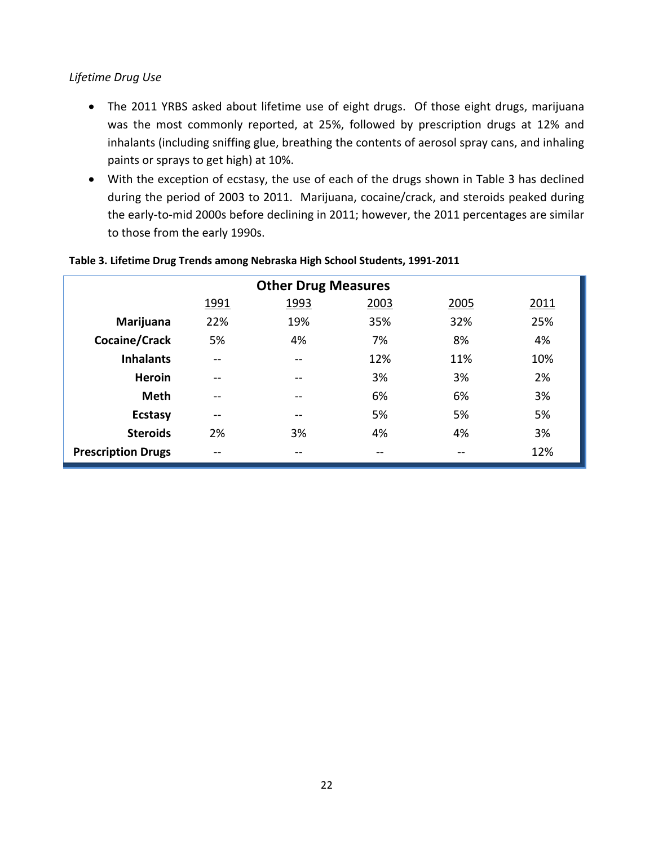#### *Lifetime Drug Use*

- The 2011 YRBS asked about lifetime use of eight drugs. Of those eight drugs, marijuana was the most commonly reported, at 25%, followed by prescription drugs at 12% and inhalants (including sniffing glue, breathing the contents of aerosol spray cans, and inhaling paints or sprays to get high) at 10%.
- With the exception of ecstasy, the use of each of the drugs shown in Table 3 has declined during the period of 2003 to 2011. Marijuana, cocaine/crack, and steroids peaked during the early‐to‐mid 2000s before declining in 2011; however, the 2011 percentages are similar to those from the early 1990s.

| <b>Other Drug Measures</b>           |               |     |     |     |     |  |  |
|--------------------------------------|---------------|-----|-----|-----|-----|--|--|
| 1993<br>2003<br>2005<br>2011<br>1991 |               |     |     |     |     |  |  |
| Marijuana                            | 22%           | 19% | 35% | 32% | 25% |  |  |
| Cocaine/Crack                        | 5%            | 4%  | 7%  | 8%  | 4%  |  |  |
| <b>Inhalants</b>                     | $- -$         | --  | 12% | 11% | 10% |  |  |
| <b>Heroin</b>                        |               |     | 3%  | 3%  | 2%  |  |  |
| <b>Meth</b>                          | --            |     | 6%  | 6%  | 3%  |  |  |
| <b>Ecstasy</b>                       | $\sim$ $\sim$ | --  | 5%  | 5%  | 5%  |  |  |
| <b>Steroids</b>                      | 2%            | 3%  | 4%  | 4%  | 3%  |  |  |
| <b>Prescription Drugs</b>            | --            | --  | --  | --  | 12% |  |  |

#### **Table 3. Lifetime Drug Trends among Nebraska High School Students, 1991‐2011**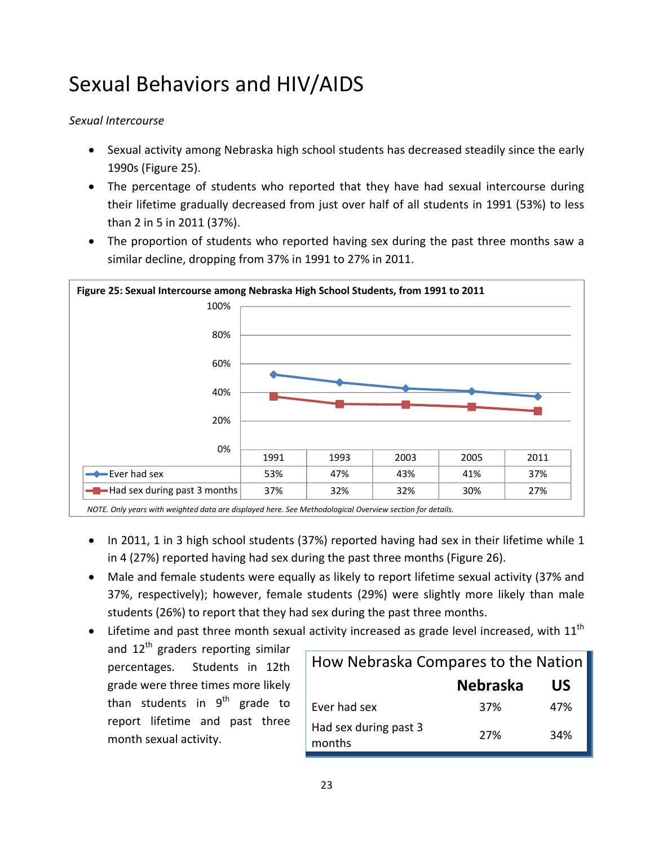## Sexual Behaviors and HIV/AIDS

#### *Sexual Intercourse*

- Sexual activity among Nebraska high school students has decreased steadily since the early 1990s (Figure 25).
- The percentage of students who reported that they have had sexual intercourse during their lifetime gradually decreased from just over half of all students in 1991 (53%) to less than 2 in 5 in 2011 (37%).
- The proportion of students who reported having sex during the past three months saw a similar decline, dropping from 37% in 1991 to 27% in 2011.



*NOTE. Only years with weighted data are displayed here. See Methodological Overview section for details.*

- In 2011, 1 in 3 high school students (37%) reported having had sex in their lifetime while 1 in 4 (27%) reported having had sex during the past three months (Figure 26).
- Male and female students were equally as likely to report lifetime sexual activity (37% and 37%, respectively); however, female students (29%) were slightly more likely than male students (26%) to report that they had sex during the past three months.
- $\bullet$  Lifetime and past three month sexual activity increased as grade level increased, with 11<sup>th</sup>
	- and  $12<sup>th</sup>$  graders reporting similar percentages. Students in 12th grade were three times more likely than students in  $9<sup>th</sup>$  grade to report lifetime and past three month sexual activity.

| How Nebraska Compares to the Nation |                 |     |
|-------------------------------------|-----------------|-----|
|                                     | <b>Nebraska</b> | US  |
| Ever had sex                        | 37%             | 47% |
| Had sex during past 3<br>months     | 27%             | 34% |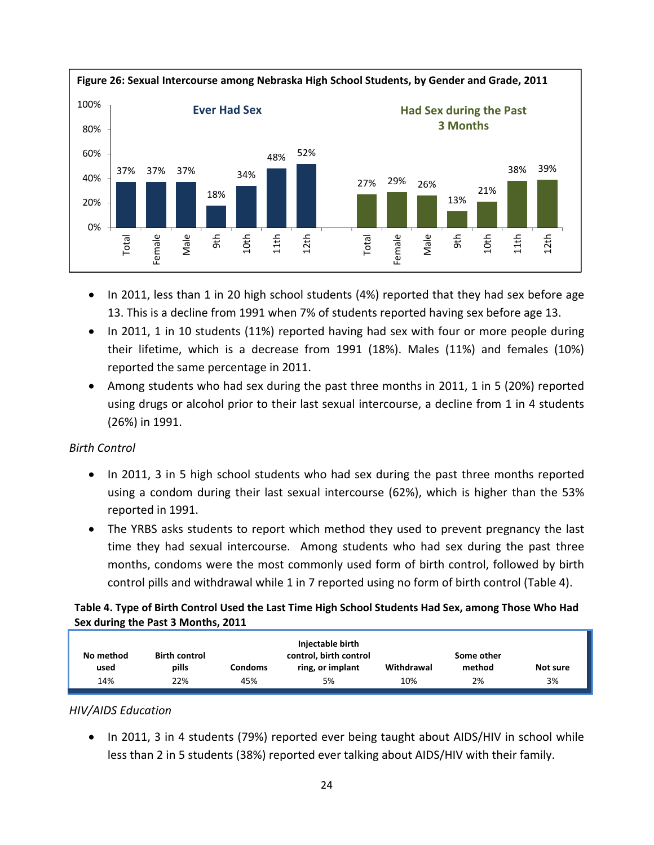

- In 2011, less than 1 in 20 high school students (4%) reported that they had sex before age 13. This is a decline from 1991 when 7% of students reported having sex before age 13.
- In 2011, 1 in 10 students (11%) reported having had sex with four or more people during their lifetime, which is a decrease from 1991 (18%). Males (11%) and females (10%) reported the same percentage in 2011.
- Among students who had sex during the past three months in 2011, 1 in 5 (20%) reported using drugs or alcohol prior to their last sexual intercourse, a decline from 1 in 4 students (26%) in 1991.

#### *Birth Control*

- In 2011, 3 in 5 high school students who had sex during the past three months reported using a condom during their last sexual intercourse (62%), which is higher than the 53% reported in 1991.
- The YRBS asks students to report which method they used to prevent pregnancy the last time they had sexual intercourse. Among students who had sex during the past three months, condoms were the most commonly used form of birth control, followed by birth control pills and withdrawal while 1 in 7 reported using no form of birth control (Table 4).

#### Table 4. Type of Birth Control Used the Last Time High School Students Had Sex, among Those Who Had **Sex during the Past 3 Months, 2011**

|           |                      |         | Injectable birth       |            |            |          |
|-----------|----------------------|---------|------------------------|------------|------------|----------|
| No method | <b>Birth control</b> |         | control, birth control |            | Some other |          |
| used      | pills                | Condoms | ring, or implant       | Withdrawal | method     | Not sure |
| 14%       | 22%                  | 45%     | 5%                     | 10%        | 2%         | 3%       |

#### *HIV/AIDS Education*

• In 2011, 3 in 4 students (79%) reported ever being taught about AIDS/HIV in school while less than 2 in 5 students (38%) reported ever talking about AIDS/HIV with their family.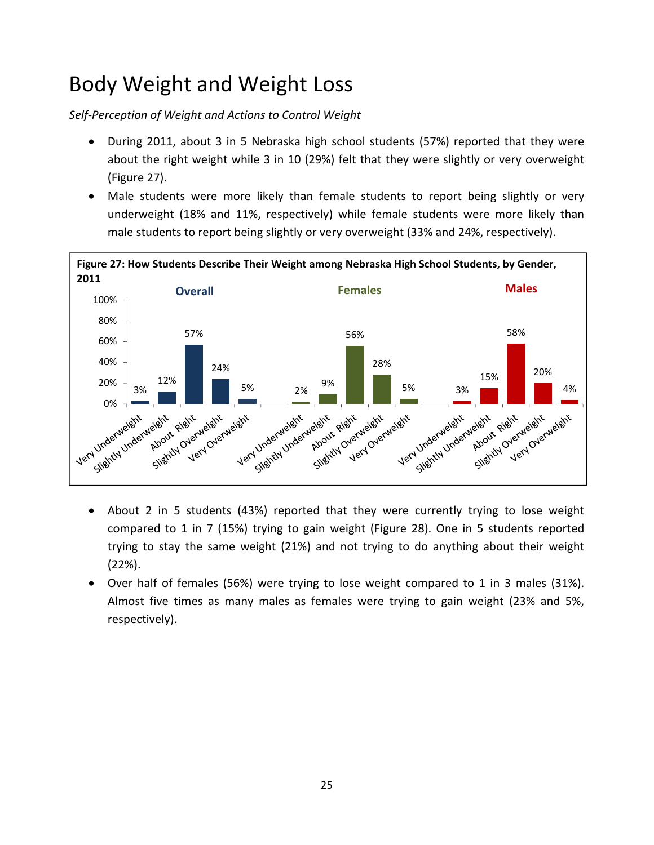## Body Weight and Weight Loss

*Self‐Perception of Weight and Actions to Control Weight*

- During 2011, about 3 in 5 Nebraska high school students (57%) reported that they were about the right weight while 3 in 10 (29%) felt that they were slightly or very overweight (Figure 27).
- Male students were more likely than female students to report being slightly or very underweight (18% and 11%, respectively) while female students were more likely than male students to report being slightly or very overweight (33% and 24%, respectively).



- About 2 in 5 students (43%) reported that they were currently trying to lose weight compared to 1 in 7 (15%) trying to gain weight (Figure 28). One in 5 students reported trying to stay the same weight (21%) and not trying to do anything about their weight (22%).
- Over half of females (56%) were trying to lose weight compared to 1 in 3 males (31%). Almost five times as many males as females were trying to gain weight (23% and 5%, respectively).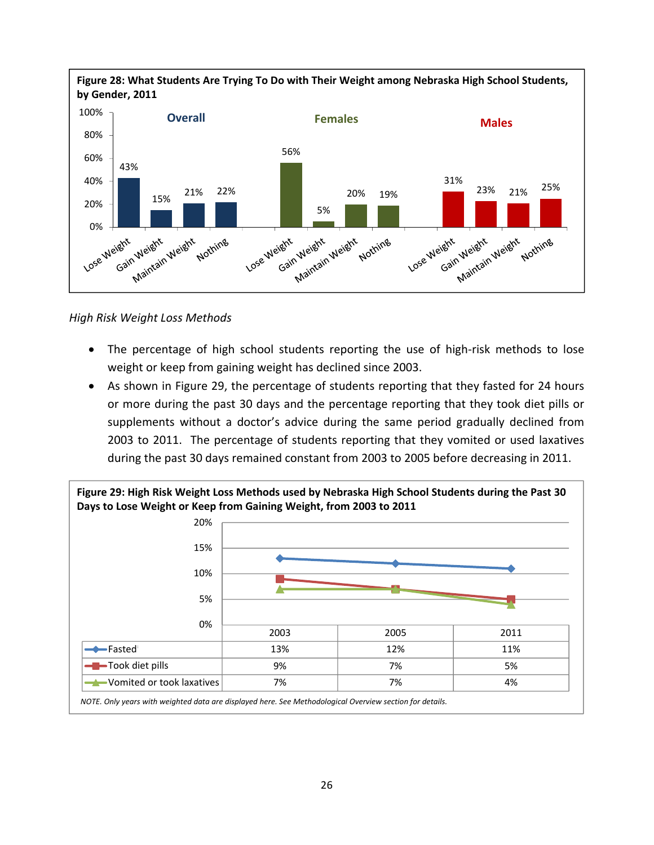

*High Risk Weight Loss Methods*

- The percentage of high school students reporting the use of high-risk methods to lose weight or keep from gaining weight has declined since 2003.
- As shown in Figure 29, the percentage of students reporting that they fasted for 24 hours or more during the past 30 days and the percentage reporting that they took diet pills or supplements without a doctor's advice during the same period gradually declined from 2003 to 2011. The percentage of students reporting that they vomited or used laxatives during the past 30 days remained constant from 2003 to 2005 before decreasing in 2011.

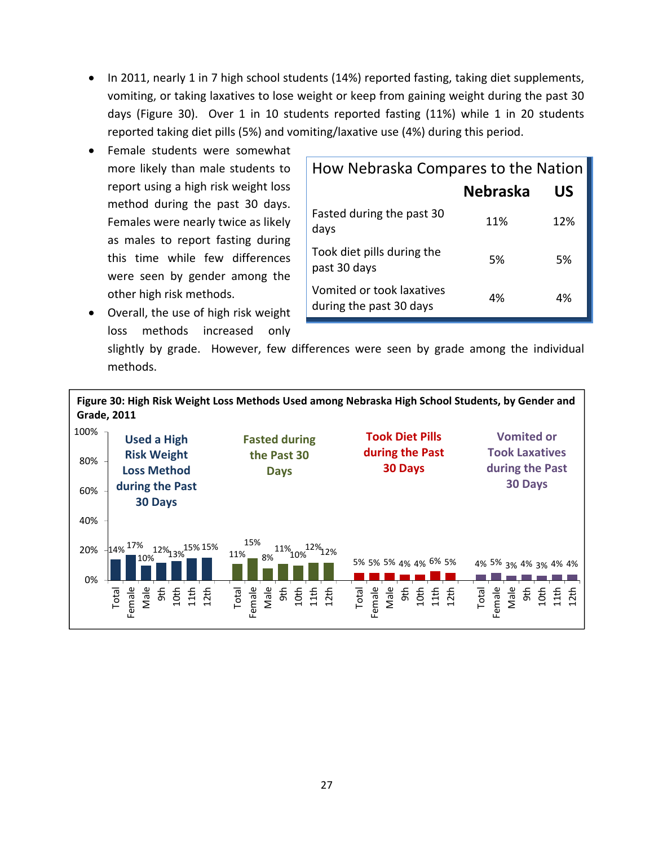- In 2011, nearly 1 in 7 high school students (14%) reported fasting, taking diet supplements, vomiting, or taking laxatives to lose weight or keep from gaining weight during the past 30 days (Figure 30). Over 1 in 10 students reported fasting (11%) while 1 in 20 students reported taking diet pills (5%) and vomiting/laxative use (4%) during this period.
- Female students were somewhat more likely than male students to report using a high risk weight loss method during the past 30 days. Females were nearly twice as likely as males to report fasting during this time while few differences were seen by gender among the other high risk methods.
- How Nebraska Compares to the Nation **Nebraska US** Fasted during the past 30 rasted daring the past 50 and 11% 12% 12% Took diet pills during the past 30 days based on the same state of the set of the set of the set of the set of the set of the set of the s Vomited or took laxatives during the past 30 days and the past 30 days
- Overall, the use of high risk weight loss methods increased only

slightly by grade. However, few differences were seen by grade among the individual methods.

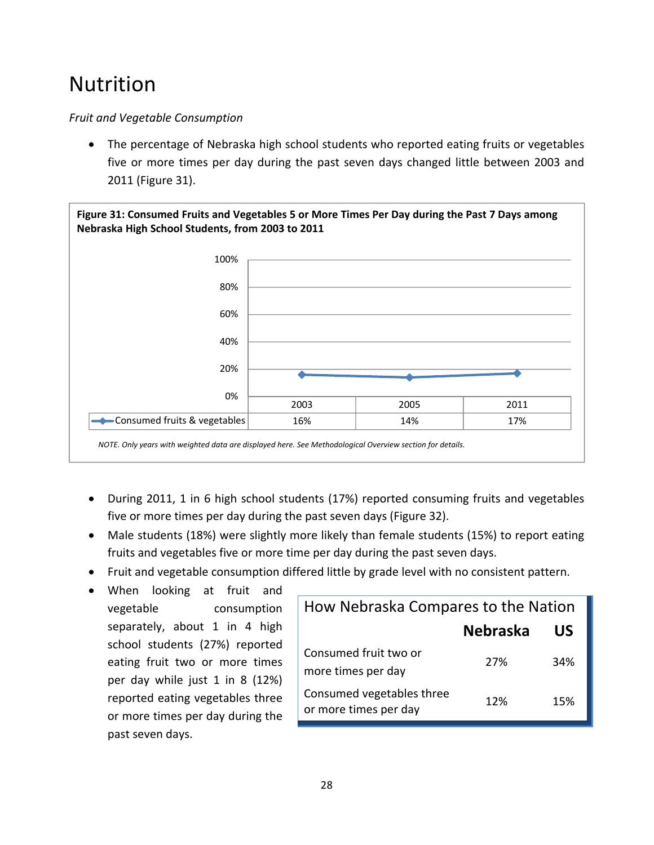## Nutrition

#### *Fruit and Vegetable Consumption*

 The percentage of Nebraska high school students who reported eating fruits or vegetables five or more times per day during the past seven days changed little between 2003 and 2011 (Figure 31).



- During 2011, 1 in 6 high school students (17%) reported consuming fruits and vegetables five or more times per day during the past seven days (Figure 32).
- Male students (18%) were slightly more likely than female students (15%) to report eating fruits and vegetables five or more time per day during the past seven days.
- Fruit and vegetable consumption differed little by grade level with no consistent pattern.
- When looking at fruit and vegetable consumption separately, about 1 in 4 high school students (27%) reported eating fruit two or more times per day while just 1 in 8 (12%) reported eating vegetables three or more times per day during the past seven days.

| How Nebraska Compares to the Nation                |                 |     |  |
|----------------------------------------------------|-----------------|-----|--|
|                                                    | <b>Nebraska</b> | US  |  |
| Consumed fruit two or<br>more times per day        | 27%             | 34% |  |
| Consumed vegetables three<br>or more times per day | 12%             | 15% |  |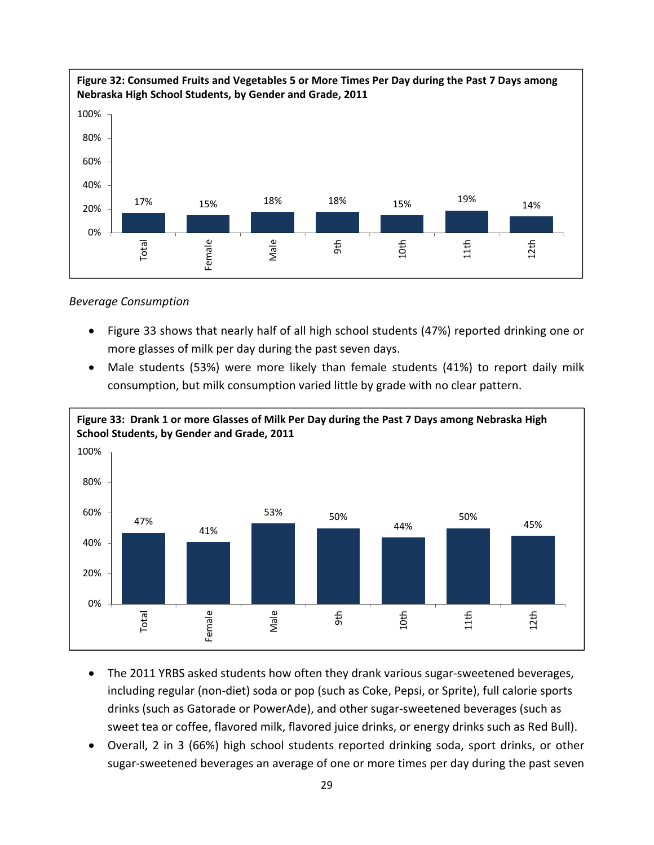

#### *Beverage Consumption*

- Figure 33 shows that nearly half of all high school students (47%) reported drinking one or more glasses of milk per day during the past seven days.
- Male students (53%) were more likely than female students (41%) to report daily milk consumption, but milk consumption varied little by grade with no clear pattern.



- The 2011 YRBS asked students how often they drank various sugar-sweetened beverages, including regular (non‐diet) soda or pop (such as Coke, Pepsi, or Sprite), full calorie sports drinks (such as Gatorade or PowerAde), and other sugar‐sweetened beverages (such as sweet tea or coffee, flavored milk, flavored juice drinks, or energy drinks such as Red Bull).
- Overall, 2 in 3 (66%) high school students reported drinking soda, sport drinks, or other sugar‐sweetened beverages an average of one or more times per day during the past seven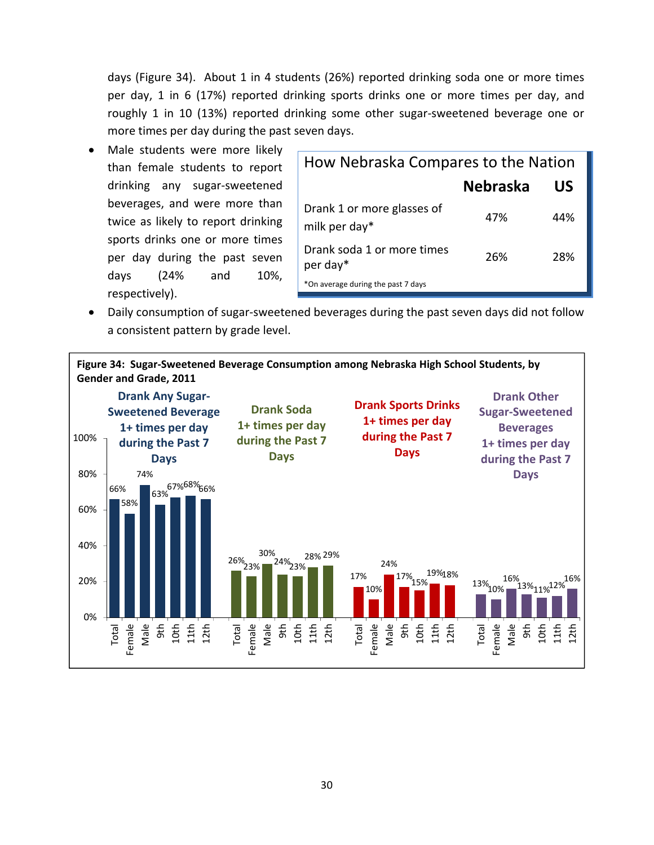days (Figure 34). About 1 in 4 students (26%) reported drinking soda one or more times per day, 1 in 6 (17%) reported drinking sports drinks one or more times per day, and roughly 1 in 10 (13%) reported drinking some other sugar‐sweetened beverage one or more times per day during the past seven days.

 Male students were more likely than female students to report drinking any sugar‐sweetened beverages, and were more than twice as likely to report drinking sports drinks one or more times per day during the past seven days (24% and 10%, respectively).

| How Nebraska Compares to the Nation         |                 |     |  |
|---------------------------------------------|-----------------|-----|--|
|                                             | <b>Nebraska</b> | US  |  |
| Drank 1 or more glasses of<br>milk per day* | 47%             | 44% |  |
| Drank soda 1 or more times<br>per day*      | 26%             | 28% |  |
| *On average during the past 7 days          |                 |     |  |

 Daily consumption of sugar‐sweetened beverages during the past seven days did not follow a consistent pattern by grade level.

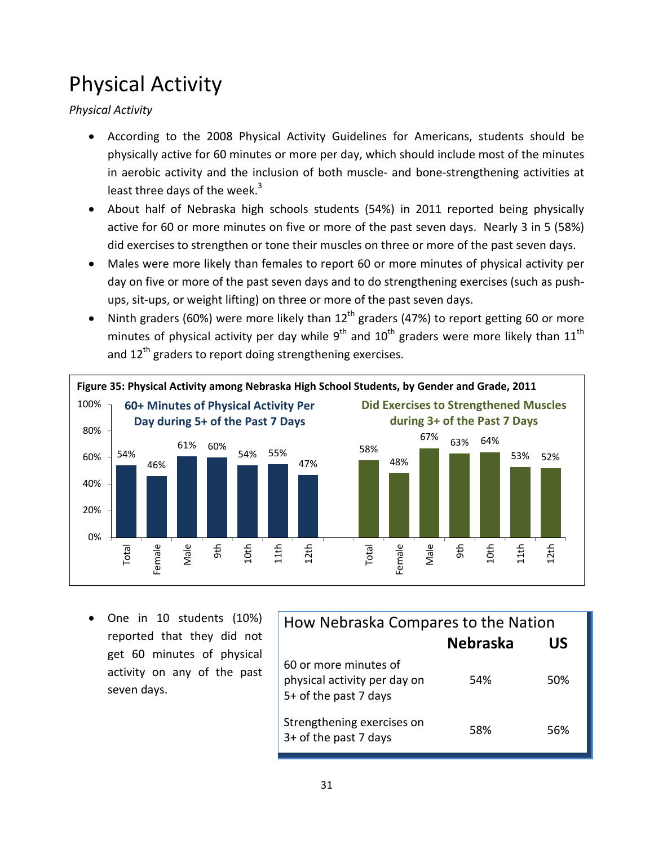## Physical Activity

*Physical Activity*

- According to the 2008 Physical Activity Guidelines for Americans, students should be physically active for 60 minutes or more per day, which should include most of the minutes in aerobic activity and the inclusion of both muscle‐ and bone‐strengthening activities at least three days of the week.<sup>3</sup>
- About half of Nebraska high schools students (54%) in 2011 reported being physically active for 60 or more minutes on five or more of the past seven days. Nearly 3 in 5 (58%) did exercises to strengthen or tone their muscles on three or more of the past seven days.
- Males were more likely than females to report 60 or more minutes of physical activity per day on five or more of the past seven days and to do strengthening exercises (such as push‐ ups, sit‐ups, or weight lifting) on three or more of the past seven days.
- Ninth graders (60%) were more likely than  $12<sup>th</sup>$  graders (47%) to report getting 60 or more minutes of physical activity per day while  $9^{th}$  and  $10^{th}$  graders were more likely than  $11^{th}$ and 12<sup>th</sup> graders to report doing strengthening exercises.



 One in 10 students (10%) reported that they did not get 60 minutes of physical activity on any of the past seven days.

| How Nebraska Compares to the Nation                                            |                 |     |  |
|--------------------------------------------------------------------------------|-----------------|-----|--|
|                                                                                | <b>Nebraska</b> | US  |  |
| 60 or more minutes of<br>physical activity per day on<br>5+ of the past 7 days | 54%             | 50% |  |
| Strengthening exercises on<br>3+ of the past 7 days                            | 58%             | 56% |  |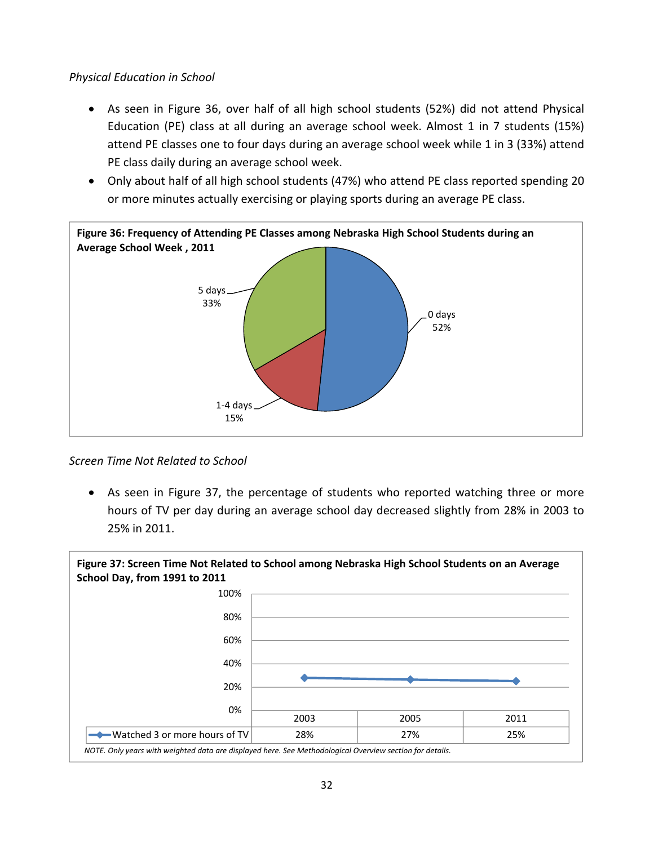#### *Physical Education in School*

- As seen in Figure 36, over half of all high school students (52%) did not attend Physical Education (PE) class at all during an average school week. Almost 1 in 7 students (15%) attend PE classes one to four days during an average school week while 1 in 3 (33%) attend PE class daily during an average school week.
- Only about half of all high school students (47%) who attend PE class reported spending 20 or more minutes actually exercising or playing sports during an average PE class.



#### *Screen Time Not Related to School*

 As seen in Figure 37, the percentage of students who reported watching three or more hours of TV per day during an average school day decreased slightly from 28% in 2003 to 25% in 2011.

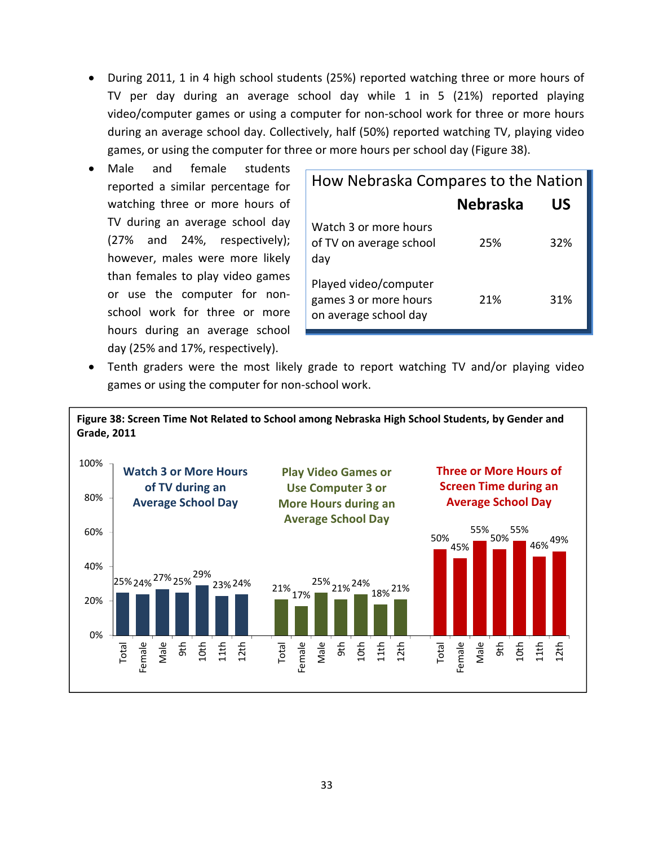- During 2011, 1 in 4 high school students (25%) reported watching three or more hours of TV per day during an average school day while 1 in 5 (21%) reported playing video/computer games or using a computer for non‐school work for three or more hours during an average school day. Collectively, half (50%) reported watching TV, playing video games, or using the computer for three or more hours per school day (Figure 38).
- Male and female students reported a similar percentage for watching three or more hours of TV during an average school day (27% and 24%, respectively); however, males were more likely than females to play video games or use the computer for non‐ school work for three or more hours during an average school day (25% and 17%, respectively).

| How Nebraska Compares to the Nation                                     |                 |     |
|-------------------------------------------------------------------------|-----------------|-----|
|                                                                         | <b>Nebraska</b> | US  |
| Watch 3 or more hours<br>of TV on average school<br>day                 | 25%             | 32% |
| Played video/computer<br>games 3 or more hours<br>on average school day | 21%             | 31% |

 Tenth graders were the most likely grade to report watching TV and/or playing video games or using the computer for non‐school work.

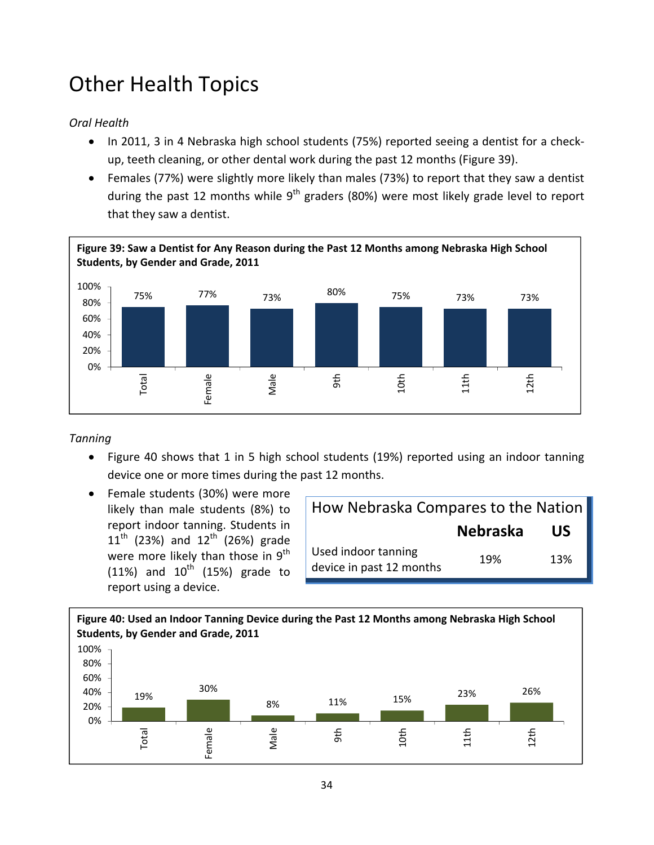## Other Health Topics

#### *Oral Health*

- In 2011, 3 in 4 Nebraska high school students (75%) reported seeing a dentist for a checkup, teeth cleaning, or other dental work during the past 12 months (Figure 39).
- Females (77%) were slightly more likely than males (73%) to report that they saw a dentist during the past 12 months while  $9<sup>th</sup>$  graders (80%) were most likely grade level to report that they saw a dentist.



#### *Tanning*

- Figure 40 shows that 1 in 5 high school students (19%) reported using an indoor tanning device one or more times during the past 12 months.
- Female students (30%) were more likely than male students (8%) to report indoor tanning. Students in  $11^{th}$  (23%) and  $12^{th}$  (26%) grade were more likely than those in 9<sup>th</sup> (11%) and  $10^{th}$  (15%) grade to report using a device.

| How Nebraska Compares to the Nation             |                 |     |
|-------------------------------------------------|-----------------|-----|
|                                                 | <b>Nebraska</b> | US  |
| Used indoor tanning<br>device in past 12 months | 19%             | 13% |

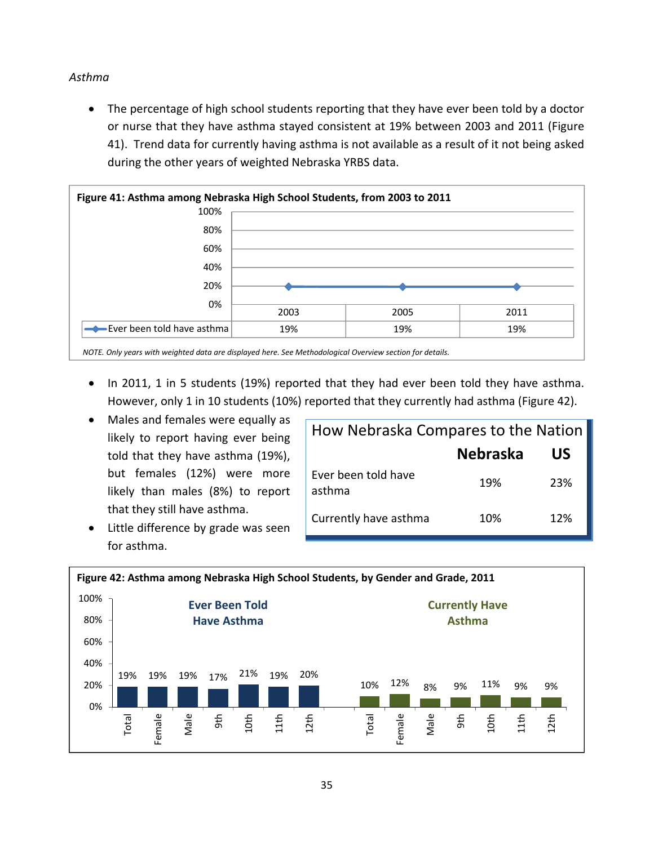#### *Asthma*

 The percentage of high school students reporting that they have ever been told by a doctor or nurse that they have asthma stayed consistent at 19% between 2003 and 2011 (Figure 41). Trend data for currently having asthma is not available as a result of it not being asked during the other years of weighted Nebraska YRBS data.



- In 2011, 1 in 5 students (19%) reported that they had ever been told they have asthma. However, only 1 in 10 students (10%) reported that they currently had asthma (Figure 42).
- Males and females were equally as likely to report having ever being told that they have asthma (19%), but females (12%) were more likely than males (8%) to report that they still have asthma.
- Little difference by grade was seen for asthma.

| How Nebraska Compares to the Nation |                 |     |
|-------------------------------------|-----------------|-----|
|                                     | <b>Nebraska</b> | US  |
| Ever been told have<br>asthma       | 19%             | 23% |
| Currently have asthma               | 10%             | 12% |

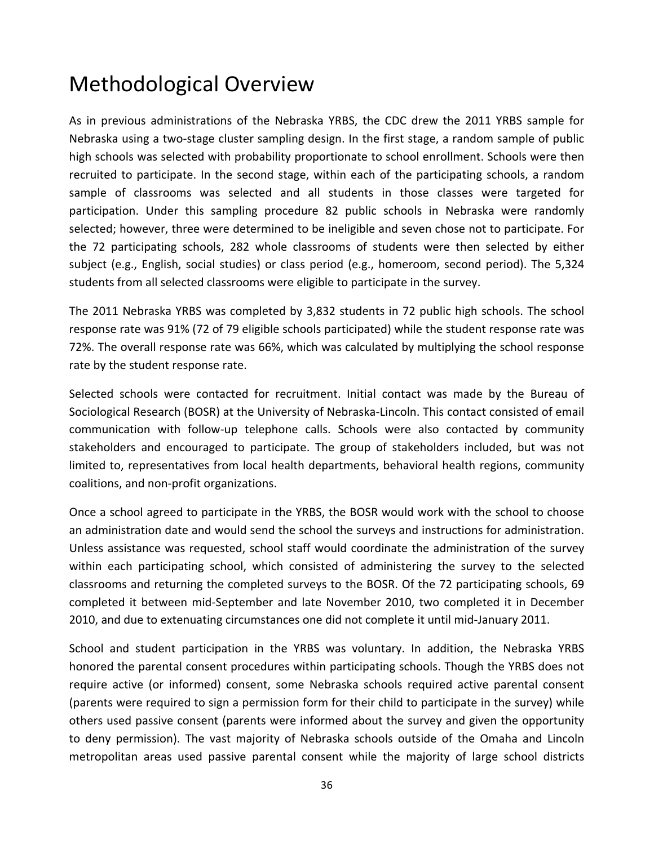### Methodological Overview

As in previous administrations of the Nebraska YRBS, the CDC drew the 2011 YRBS sample for Nebraska using a two‐stage cluster sampling design. In the first stage, a random sample of public high schools was selected with probability proportionate to school enrollment. Schools were then recruited to participate. In the second stage, within each of the participating schools, a random sample of classrooms was selected and all students in those classes were targeted for participation. Under this sampling procedure 82 public schools in Nebraska were randomly selected; however, three were determined to be ineligible and seven chose not to participate. For the 72 participating schools, 282 whole classrooms of students were then selected by either subject (e.g., English, social studies) or class period (e.g., homeroom, second period). The 5,324 students from all selected classrooms were eligible to participate in the survey.

The 2011 Nebraska YRBS was completed by 3,832 students in 72 public high schools. The school response rate was 91% (72 of 79 eligible schools participated) while the student response rate was 72%. The overall response rate was 66%, which was calculated by multiplying the school response rate by the student response rate.

Selected schools were contacted for recruitment. Initial contact was made by the Bureau of Sociological Research (BOSR) at the University of Nebraska‐Lincoln. This contact consisted of email communication with follow‐up telephone calls. Schools were also contacted by community stakeholders and encouraged to participate. The group of stakeholders included, but was not limited to, representatives from local health departments, behavioral health regions, community coalitions, and non‐profit organizations.

Once a school agreed to participate in the YRBS, the BOSR would work with the school to choose an administration date and would send the school the surveys and instructions for administration. Unless assistance was requested, school staff would coordinate the administration of the survey within each participating school, which consisted of administering the survey to the selected classrooms and returning the completed surveys to the BOSR. Of the 72 participating schools, 69 completed it between mid‐September and late November 2010, two completed it in December 2010, and due to extenuating circumstances one did not complete it until mid‐January 2011.

School and student participation in the YRBS was voluntary. In addition, the Nebraska YRBS honored the parental consent procedures within participating schools. Though the YRBS does not require active (or informed) consent, some Nebraska schools required active parental consent (parents were required to sign a permission form for their child to participate in the survey) while others used passive consent (parents were informed about the survey and given the opportunity to deny permission). The vast majority of Nebraska schools outside of the Omaha and Lincoln metropolitan areas used passive parental consent while the majority of large school districts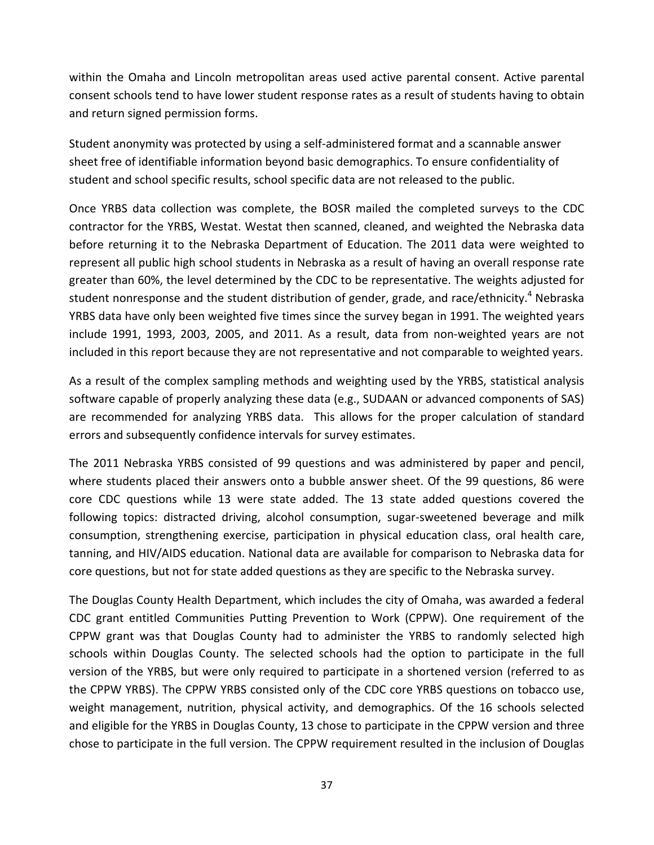within the Omaha and Lincoln metropolitan areas used active parental consent. Active parental consent schools tend to have lower student response rates as a result of students having to obtain and return signed permission forms.

Student anonymity was protected by using a self‐administered format and a scannable answer sheet free of identifiable information beyond basic demographics. To ensure confidentiality of student and school specific results, school specific data are not released to the public.

Once YRBS data collection was complete, the BOSR mailed the completed surveys to the CDC contractor for the YRBS, Westat. Westat then scanned, cleaned, and weighted the Nebraska data before returning it to the Nebraska Department of Education. The 2011 data were weighted to represent all public high school students in Nebraska as a result of having an overall response rate greater than 60%, the level determined by the CDC to be representative. The weights adjusted for student nonresponse and the student distribution of gender, grade, and race/ethnicity.<sup>4</sup> Nebraska YRBS data have only been weighted five times since the survey began in 1991. The weighted years include 1991, 1993, 2003, 2005, and 2011. As a result, data from non-weighted years are not included in this report because they are not representative and not comparable to weighted years.

As a result of the complex sampling methods and weighting used by the YRBS, statistical analysis software capable of properly analyzing these data (e.g., SUDAAN or advanced components of SAS) are recommended for analyzing YRBS data. This allows for the proper calculation of standard errors and subsequently confidence intervals for survey estimates.

The 2011 Nebraska YRBS consisted of 99 questions and was administered by paper and pencil, where students placed their answers onto a bubble answer sheet. Of the 99 questions, 86 were core CDC questions while 13 were state added. The 13 state added questions covered the following topics: distracted driving, alcohol consumption, sugar-sweetened beverage and milk consumption, strengthening exercise, participation in physical education class, oral health care, tanning, and HIV/AIDS education. National data are available for comparison to Nebraska data for core questions, but not for state added questions as they are specific to the Nebraska survey.

The Douglas County Health Department, which includes the city of Omaha, was awarded a federal CDC grant entitled Communities Putting Prevention to Work (CPPW). One requirement of the CPPW grant was that Douglas County had to administer the YRBS to randomly selected high schools within Douglas County. The selected schools had the option to participate in the full version of the YRBS, but were only required to participate in a shortened version (referred to as the CPPW YRBS). The CPPW YRBS consisted only of the CDC core YRBS questions on tobacco use, weight management, nutrition, physical activity, and demographics. Of the 16 schools selected and eligible for the YRBS in Douglas County, 13 chose to participate in the CPPW version and three chose to participate in the full version. The CPPW requirement resulted in the inclusion of Douglas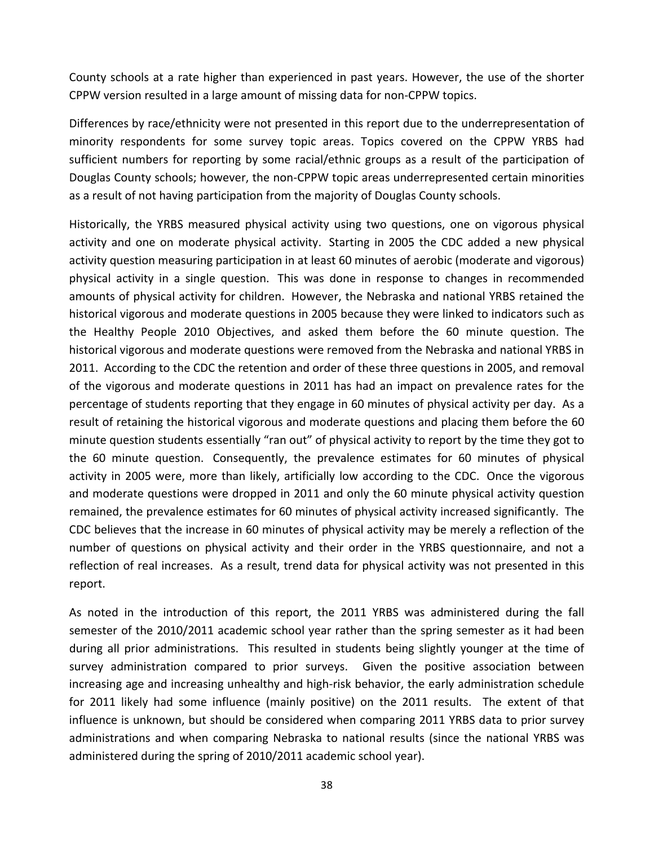County schools at a rate higher than experienced in past years. However, the use of the shorter CPPW version resulted in a large amount of missing data for non‐CPPW topics.

Differences by race/ethnicity were not presented in this report due to the underrepresentation of minority respondents for some survey topic areas. Topics covered on the CPPW YRBS had sufficient numbers for reporting by some racial/ethnic groups as a result of the participation of Douglas County schools; however, the non‐CPPW topic areas underrepresented certain minorities as a result of not having participation from the majority of Douglas County schools.

Historically, the YRBS measured physical activity using two questions, one on vigorous physical activity and one on moderate physical activity. Starting in 2005 the CDC added a new physical activity question measuring participation in at least 60 minutes of aerobic (moderate and vigorous) physical activity in a single question. This was done in response to changes in recommended amounts of physical activity for children. However, the Nebraska and national YRBS retained the historical vigorous and moderate questions in 2005 because they were linked to indicators such as the Healthy People 2010 Objectives, and asked them before the 60 minute question. The historical vigorous and moderate questions were removed from the Nebraska and national YRBS in 2011. According to the CDC the retention and order of these three questions in 2005, and removal of the vigorous and moderate questions in 2011 has had an impact on prevalence rates for the percentage of students reporting that they engage in 60 minutes of physical activity per day. As a result of retaining the historical vigorous and moderate questions and placing them before the 60 minute question students essentially "ran out" of physical activity to report by the time they got to the 60 minute question. Consequently, the prevalence estimates for 60 minutes of physical activity in 2005 were, more than likely, artificially low according to the CDC. Once the vigorous and moderate questions were dropped in 2011 and only the 60 minute physical activity question remained, the prevalence estimates for 60 minutes of physical activity increased significantly. The CDC believes that the increase in 60 minutes of physical activity may be merely a reflection of the number of questions on physical activity and their order in the YRBS questionnaire, and not a reflection of real increases. As a result, trend data for physical activity was not presented in this report.

As noted in the introduction of this report, the 2011 YRBS was administered during the fall semester of the 2010/2011 academic school year rather than the spring semester as it had been during all prior administrations. This resulted in students being slightly younger at the time of survey administration compared to prior surveys. Given the positive association between increasing age and increasing unhealthy and high‐risk behavior, the early administration schedule for 2011 likely had some influence (mainly positive) on the 2011 results. The extent of that influence is unknown, but should be considered when comparing 2011 YRBS data to prior survey administrations and when comparing Nebraska to national results (since the national YRBS was administered during the spring of 2010/2011 academic school year).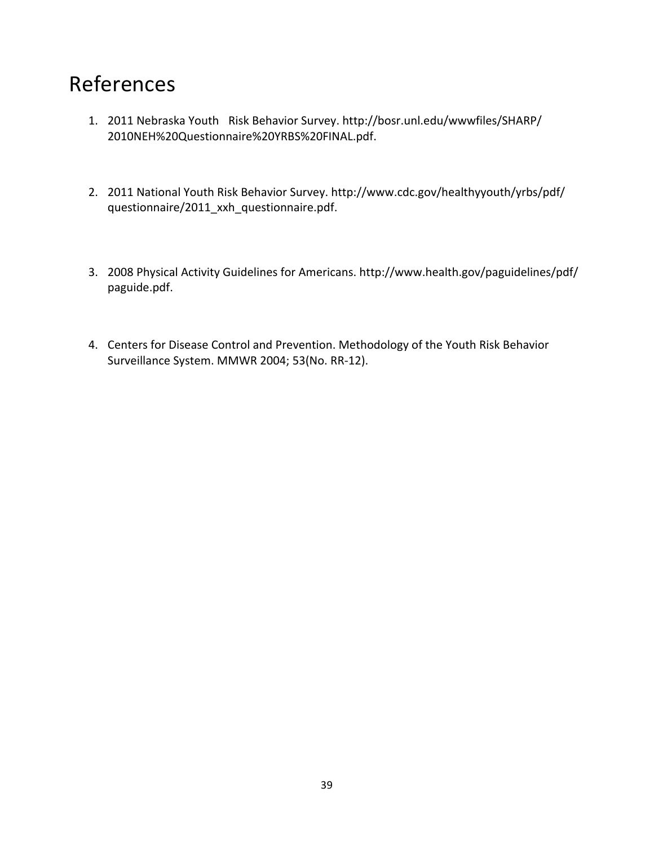### References

- 1. 2011 Nebraska Youth Risk Behavior Survey. http://bosr.unl.edu/wwwfiles/SHARP/ 2010NEH%20Questionnaire%20YRBS%20FINAL.pdf.
- 2. 2011 National Youth Risk Behavior Survey. http://www.cdc.gov/healthyyouth/yrbs/pdf/ questionnaire/2011\_xxh\_questionnaire.pdf.
- 3. 2008 Physical Activity Guidelines for Americans. http://www.health.gov/paguidelines/pdf/ paguide.pdf.
- 4. Centers for Disease Control and Prevention. Methodology of the Youth Risk Behavior Surveillance System. MMWR 2004; 53(No. RR‐12).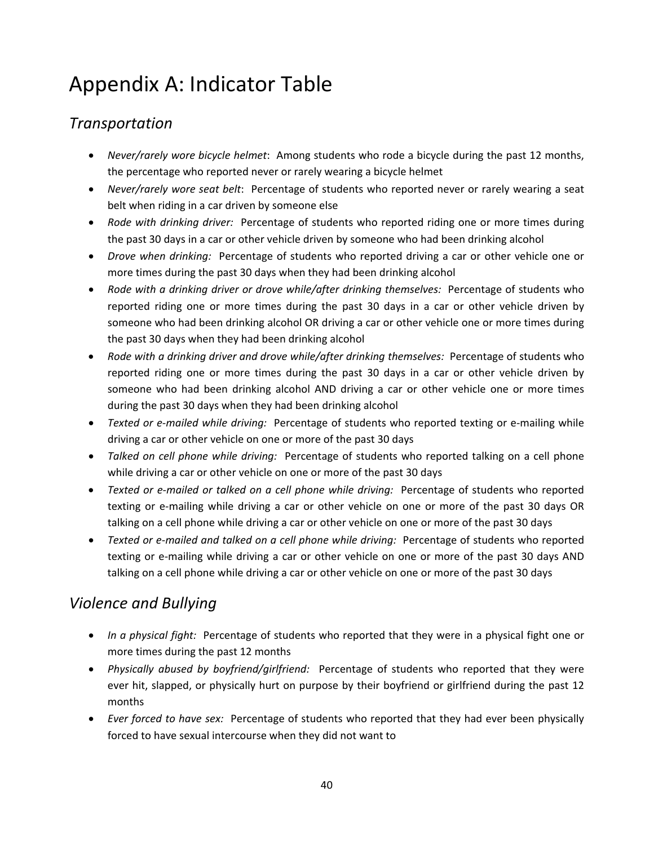## Appendix A: Indicator Table

### *Transportation*

- *Never/rarely wore bicycle helmet*: Among students who rode a bicycle during the past 12 months, the percentage who reported never or rarely wearing a bicycle helmet
- *Never/rarely wore seat belt*: Percentage of students who reported never or rarely wearing a seat belt when riding in a car driven by someone else
- Rode with *drinking driver:* Percentage of students who reported riding one or more times during the past 30 days in a car or other vehicle driven by someone who had been drinking alcohol
- *Drove when drinking:* Percentage of students who reported driving a car or other vehicle one or more times during the past 30 days when they had been drinking alcohol
- *Rode with a drinking driver or drove while/after drinking themselves:* Percentage of students who reported riding one or more times during the past 30 days in a car or other vehicle driven by someone who had been drinking alcohol OR driving a car or other vehicle one or more times during the past 30 days when they had been drinking alcohol
- *Rode with a drinking driver and drove while/after drinking themselves:* Percentage of students who reported riding one or more times during the past 30 days in a car or other vehicle driven by someone who had been drinking alcohol AND driving a car or other vehicle one or more times during the past 30 days when they had been drinking alcohol
- *Texted or e-mailed while driving:* Percentage of students who reported texting or e-mailing while driving a car or other vehicle on one or more of the past 30 days
- *Talked on cell phone while driving:* Percentage of students who reported talking on a cell phone while driving a car or other vehicle on one or more of the past 30 days
- *Texted or e‐mailed or talked on a cell phone while driving:* Percentage of students who reported texting or e‐mailing while driving a car or other vehicle on one or more of the past 30 days OR talking on a cell phone while driving a car or other vehicle on one or more of the past 30 days
- *Texted or e‐mailed and talked on a cell phone while driving:* Percentage of students who reported texting or e-mailing while driving a car or other vehicle on one or more of the past 30 days AND talking on a cell phone while driving a car or other vehicle on one or more of the past 30 days

### *Violence and Bullying*

- In *a physical fight:* Percentage of students who reported that they were in a physical fight one or more times during the past 12 months
- *Physically abused by boyfriend/girlfriend:*  Percentage of students who reported that they were ever hit, slapped, or physically hurt on purpose by their boyfriend or girlfriend during the past 12 months
- *Ever forced to have sex:* Percentage of students who reported that they had ever been physically forced to have sexual intercourse when they did not want to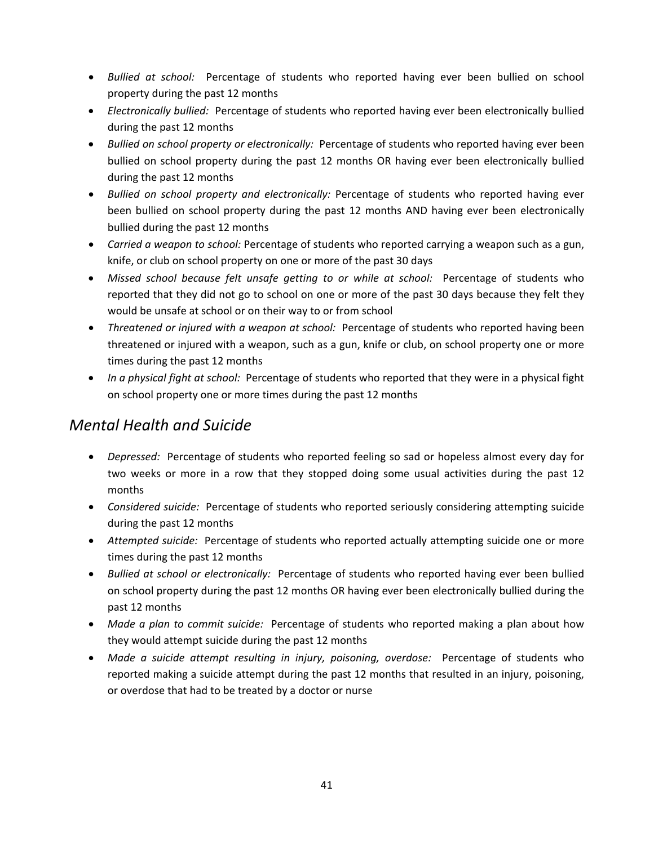- *Bullied at school:*  Percentage of students who reported having ever been bullied on school property during the past 12 months
- *Electronically bullied:* Percentage of students who reported having ever been electronically bullied during the past 12 months
- *Bullied on school property or electronically:* Percentage of students who reported having ever been bullied on school property during the past 12 months OR having ever been electronically bullied during the past 12 months
- *Bullied on school property and electronically:* Percentage of students who reported having ever been bullied on school property during the past 12 months AND having ever been electronically bullied during the past 12 months
- *Carried a weapon to school:* Percentage of students who reported carrying a weapon such as a gun, knife, or club on school property on one or more of the past 30 days
- *Missed school because felt unsafe getting to or while at school:* Percentage of students who reported that they did not go to school on one or more of the past 30 days because they felt they would be unsafe at school or on their way to or from school
- *Threatened or injured with a weapon at school:* Percentage of students who reported having been threatened or injured with a weapon, such as a gun, knife or club, on school property one or more times during the past 12 months
- *In a physical fight at school:* Percentage of students who reported that they were in a physical fight on school property one or more times during the past 12 months

### *Mental Health and Suicide*

- Depressed: Percentage of students who reported feeling so sad or hopeless almost every day for two weeks or more in a row that they stopped doing some usual activities during the past 12 months
- *Considered suicide:* Percentage of students who reported seriously considering attempting suicide during the past 12 months
- Attempted *suicide:* Percentage of students who reported actually attempting suicide one or more times during the past 12 months
- *Bullied at school or electronically:* Percentage of students who reported having ever been bullied on school property during the past 12 months OR having ever been electronically bullied during the past 12 months
- Made a plan to commit suicide: Percentage of students who reported making a plan about how they would attempt suicide during the past 12 months
- *Made a suicide attempt resulting in injury, poisoning, overdose:*  Percentage of students who reported making a suicide attempt during the past 12 months that resulted in an injury, poisoning, or overdose that had to be treated by a doctor or nurse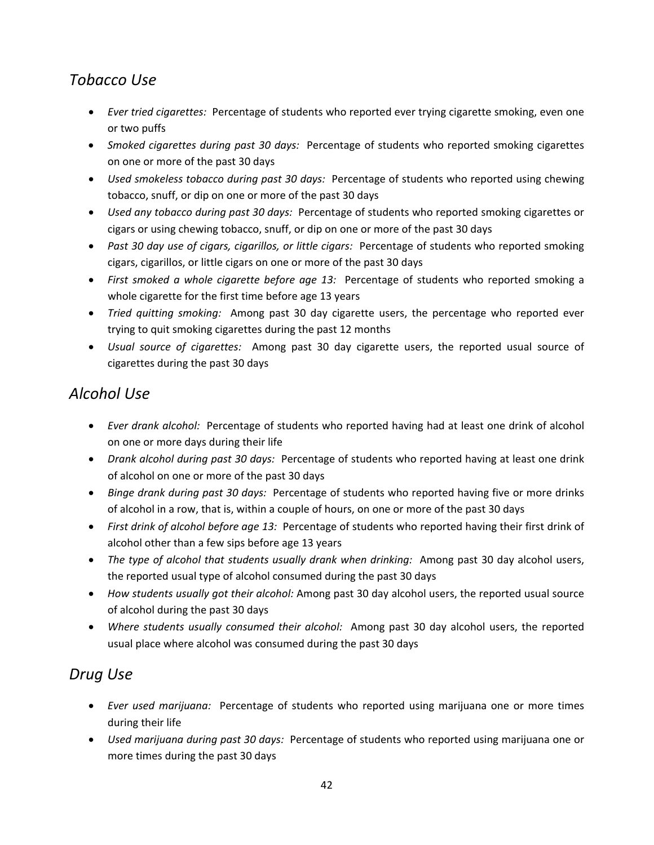### *Tobacco Use*

- *Ever tried cigarettes:* Percentage of students who reported ever trying cigarette smoking, even one or two puffs
- *Smoked cigarettes during past 30 days:* Percentage of students who reported smoking cigarettes on one or more of the past 30 days
- *Used smokeless tobacco during past 30 days:* Percentage of students who reported using chewing tobacco, snuff, or dip on one or more of the past 30 days
- *Used any tobacco during past 30 days:* Percentage of students who reported smoking cigarettes or cigars or using chewing tobacco, snuff, or dip on one or more of the past 30 days
- *Past 30 day use of cigars, cigarillos, or little cigars:* Percentage of students who reported smoking cigars, cigarillos, or little cigars on one or more of the past 30 days
- *First smoked a whole cigarette before age 13:*  Percentage of students who reported smoking a whole cigarette for the first time before age 13 years
- *Tried quitting smoking:* Among past 30 day cigarette users, the percentage who reported ever trying to quit smoking cigarettes during the past 12 months
- *Usual source of cigarettes:*  Among past 30 day cigarette users, the reported usual source of cigarettes during the past 30 days

### *Alcohol Use*

- *Ever drank alcohol:* Percentage of students who reported having had at least one drink of alcohol on one or more days during their life
- *Drank alcohol during past 30 days:* Percentage of students who reported having at least one drink of alcohol on one or more of the past 30 days
- *Binge drank during past 30 days:* Percentage of students who reported having five or more drinks of alcohol in a row, that is, within a couple of hours, on one or more of the past 30 days
- *First drink of alcohol before age 13:* Percentage of students who reported having their first drink of alcohol other than a few sips before age 13 years
- *The type of alcohol that students usually drank when drinking:* Among past 30 day alcohol users, the reported usual type of alcohol consumed during the past 30 days
- *How students usually got their alcohol:* Among past 30 day alcohol users, the reported usual source of alcohol during the past 30 days
- *Where students usually consumed their alcohol:* Among past 30 day alcohol users, the reported usual place where alcohol was consumed during the past 30 days

### *Drug Use*

- *Ever used marijuana:*  Percentage of students who reported using marijuana one or more times during their life
- *Used marijuana during past 30 days:* Percentage of students who reported using marijuana one or more times during the past 30 days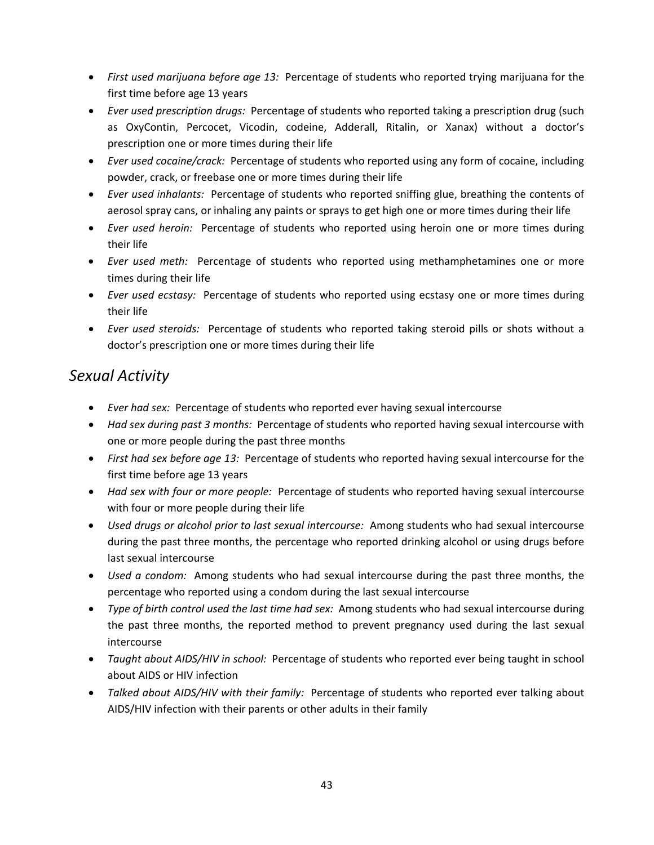- *First used marijuana before age 13:* Percentage of students who reported trying marijuana for the first time before age 13 years
- *Ever used prescription drugs:* Percentage of students who reported taking a prescription drug (such as OxyContin, Percocet, Vicodin, codeine, Adderall, Ritalin, or Xanax) without a doctor's prescription one or more times during their life
- **•** *Ever used cocaine/crack:* Percentage of students who reported using any form of cocaine, including powder, crack, or freebase one or more times during their life
- *Ever used inhalants:* Percentage of students who reported sniffing glue, breathing the contents of aerosol spray cans, or inhaling any paints or sprays to get high one or more times during their life
- **•** *Ever used heroin:* Percentage of students who reported using heroin one or more times during their life
- *Ever used meth:*  Percentage of students who reported using methamphetamines one or more times during their life
- *Ever used ecstasy:* Percentage of students who reported using ecstasy one or more times during their life
- *Ever used steroids:*  Percentage of students who reported taking steroid pills or shots without a doctor's prescription one or more times during their life

### *Sexual Activity*

- *Ever had sex:* Percentage of students who reported ever having sexual intercourse
- Had sex during past 3 months: Percentage of students who reported having sexual intercourse with one or more people during the past three months
- *First had sex before age 13:* Percentage of students who reported having sexual intercourse for the first time before age 13 years
- *Had sex with four or more people:* Percentage of students who reported having sexual intercourse with four or more people during their life
- *Used drugs or alcohol prior to last sexual intercourse:* Among students who had sexual intercourse during the past three months, the percentage who reported drinking alcohol or using drugs before last sexual intercourse
- *Used a condom:* Among students who had sexual intercourse during the past three months, the percentage who reported using a condom during the last sexual intercourse
- *Type of birth control used the last time had sex:* Among students who had sexual intercourse during the past three months, the reported method to prevent pregnancy used during the last sexual intercourse
- *Taught about AIDS/HIV in school:* Percentage of students who reported ever being taught in school about AIDS or HIV infection
- *Talked about AIDS/HIV with their family:* Percentage of students who reported ever talking about AIDS/HIV infection with their parents or other adults in their family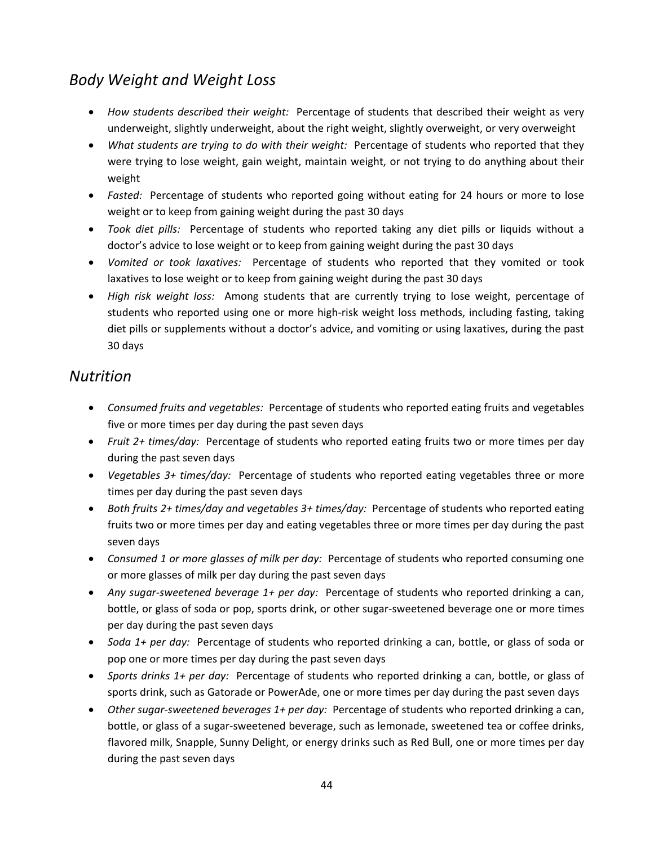### *Body Weight and Weight Loss*

- How *students described their weight:* Percentage of students that described their weight as very underweight, slightly underweight, about the right weight, slightly overweight, or very overweight
- *What students are trying to do with their weight:* Percentage of students who reported that they were trying to lose weight, gain weight, maintain weight, or not trying to do anything about their weight
- *Fasted:* Percentage of students who reported going without eating for 24 hours or more to lose weight or to keep from gaining weight during the past 30 days
- *Took diet pills:*  Percentage of students who reported taking any diet pills or liquids without a doctor's advice to lose weight or to keep from gaining weight during the past 30 days
- *Vomited or took laxatives:*  Percentage of students who reported that they vomited or took laxatives to lose weight or to keep from gaining weight during the past 30 days
- *High risk weight loss:*  Among students that are currently trying to lose weight, percentage of students who reported using one or more high‐risk weight loss methods, including fasting, taking diet pills or supplements without a doctor's advice, and vomiting or using laxatives, during the past 30 days

### *Nutrition*

- Consumed fruits and *vegetables:* Percentage of students who reported eating fruits and vegetables five or more times per day during the past seven days
- *Fruit*  $2+$  *times/day:* Percentage of students who reported eating fruits two or more times per day during the past seven days
- Vegetables 3+ times/day: Percentage of students who reported eating vegetables three or more times per day during the past seven days
- *Both fruits 2+ times/day and vegetables 3+ times/day:* Percentage of students who reported eating fruits two or more times per day and eating vegetables three or more times per day during the past seven days
- *Consumed 1 or more glasses of milk per day:* Percentage of students who reported consuming one or more glasses of milk per day during the past seven days
- *Any sugar-sweetened beverage* 1+ *per day:* Percentage of students who reported drinking a can, bottle, or glass of soda or pop, sports drink, or other sugar‐sweetened beverage one or more times per day during the past seven days
- *Soda 1+ per day:* Percentage of students who reported drinking a can, bottle, or glass of soda or pop one or more times per day during the past seven days
- *Sports drinks 1+ per day:* Percentage of students who reported drinking a can, bottle, or glass of sports drink, such as Gatorade or PowerAde, one or more times per day during the past seven days
- *Other sugar‐sweetened beverages 1+ per day:* Percentage of students who reported drinking a can, bottle, or glass of a sugar‐sweetened beverage, such as lemonade, sweetened tea or coffee drinks, flavored milk, Snapple, Sunny Delight, or energy drinks such as Red Bull, one or more times per day during the past seven days